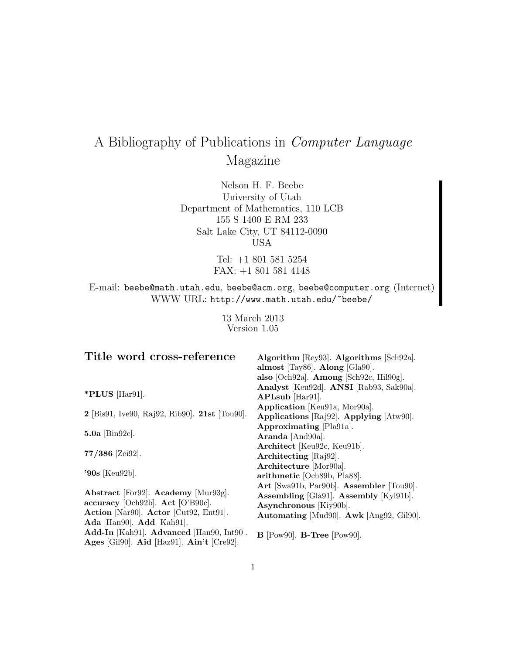# A Bibliography of Publications in Computer Language Magazine

Nelson H. F. Beebe University of Utah Department of Mathematics, 110 LCB 155 S 1400 E RM 233 Salt Lake City, UT 84112-0090 USA

> Tel: +1 801 581 5254 FAX: +1 801 581 4148

E-mail: beebe@math.utah.edu, beebe@acm.org, beebe@computer.org (Internet) WWW URL: http://www.math.utah.edu/~beebe/

> 13 March 2013 Version 1.05

| Title word cross-reference                            | Algorithm [Rey93]. Algorithms [Sch92a].                 |
|-------------------------------------------------------|---------------------------------------------------------|
|                                                       | almost [Tay86]. Along [Gla90].                          |
|                                                       | also [Och92a]. Among [Sch92c, Hil90g].                  |
|                                                       | Analyst [Keu92d]. ANSI [Rab93, Sak90a].                 |
| *PLUS $[Har91]$ .                                     | $APLsub$ [Har91].                                       |
|                                                       | Application [Keu91a, Mor90a].                           |
| 2 [Bis91, Ive90, Raj92, Rib90]. 21st [Tou90].         | Applications [Raj92]. Applying [Atw90].                 |
|                                                       | Approximating [Pla91a].                                 |
| 5.0a [ $Bin92c$ ].                                    | Aranda [And90a].                                        |
|                                                       | Architect [Keu92c, Keu91b].                             |
| $77/386$ [Zei92].                                     | Architecting [Raj92].                                   |
|                                                       | Architecture [Mor90a].                                  |
| '90s [ $Keu92b$ ].                                    | arithmetic [Och89b, Pla88].                             |
|                                                       | Art [Swa91b, Par90b]. Assembler [Tou90].                |
| Abstract [For92]. Academy [Mur93g].                   | Assembling [Gla91]. Assembly [Kyl91b].                  |
| $\textbf{accuracy}$ [Och92b]. Act [O'B90c].           | Asynchronous [Kiy90b].                                  |
| Action [Nar90]. Actor [Cut92, Ent91].                 | Automating [Mud90]. Awk [Ang92, Gil90].                 |
| Ada [Han90]. Add [Kah91].                             |                                                         |
| Add-In [Kah91]. Advanced [Han90, Int90].              | $\mathbf{B}$ [Pow90]. $\mathbf{B}\text{-Tree}$ [Pow90]. |
| Ages [Gil $90$ ]. Aid [Haz $91$ ]. Ain't [Cre $92$ ]. |                                                         |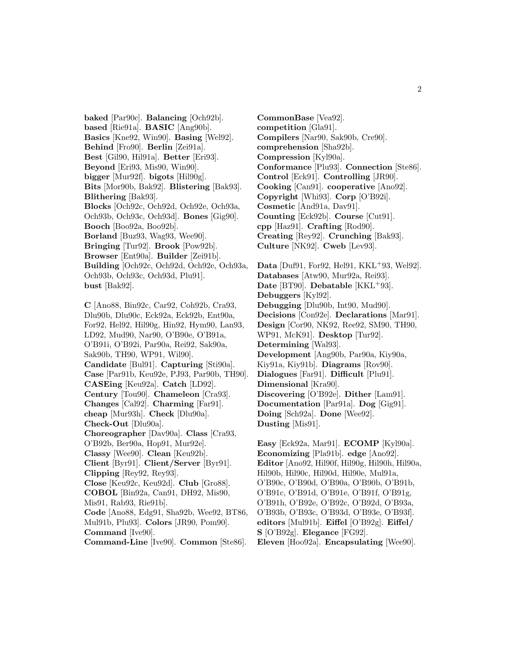**baked** [Par90c]. **Balancing** [Och92b]. **based** [Rie91a]. **BASIC** [Ang90b]. **Basics** [Kne92, Win90]. **Basing** [Wel92]. **Behind** [Fro90]. **Berlin** [Zei91a]. **Best** [Gil90, Hil91a]. **Better** [Eri93]. **Beyond** [Eri93, Mis90, Win90]. **bigger** [Mur92f]. **bigots** [Hil90g]. **Bits** [Mor90b, Bak92]. **Blistering** [Bak93]. **Blithering** [Bak93]. **Blocks** [Och92c, Och92d, Och92e, Och93a, Och93b, Och93c, Och93d]. **Bones** [Gig90]. **Booch** [Boo92a, Boo92b]. **Borland** [Buz93, Wag93, Wee90]. **Bringing** [Tur92]. **Brook** [Pow92b]. **Browser** [Ent90a]. **Builder** [Zei91b]. **Building** [Och92c, Och92d, Och92e, Och93a, Och93b, Och93c, Och93d, Plu91]. **bust** [Bak92].

**C** [Ano88, Bin92c, Car92, Coh92b, Cra93, Dlu90b, Dlu90c, Eck92a, Eck92b, Ent90a, For92, Hel92, Hil90g, Hin92, Hym90, Lan93, LD92, Mud90, Nar90, O'B90e, O'B91a, O'B91i, O'B92i, Par90a, Rei92, Sak90a, Sak90b, TH90, WP91, Wil90]. **Candidate** [Bul91]. **Capturing** [Sti90a]. **Case** [Par91b, Keu92e, PJ93, Par90b, TH90]. **CASEing** [Keu92a]. **Catch** [LD92]. **Century** [Tou90]. **Chameleon** [Cra93]. **Changes** [Cal92]. **Charming** [Far91]. **cheap** [Mur93h]. **Check** [Dlu90a]. **Check-Out** [Dlu90a]. **Choreographer** [Dav90a]. **Class** [Cra93, O'B92b, Ber90a, Hop91, Mur92e]. **Classy** [Wee90]. **Clean** [Keu92b]. **Client** [Byr91]. **Client/Server** [Byr91]. **Clipping** [Rey92, Rey93]. **Close** [Keu92c, Keu92d]. **Club** [Gro88]. **COBOL** [Bin92a, Can91, DH92, Mis90, Mis91, Rab93, Rie91b]. **Code** [Ano88, Edg91, Sha92b, Wee92, BT86, Mul91b, Plu93]. **Colors** [JR90, Pom90]. **Command** [Ive90].

**Command-Line** [Ive90]. **Common** [Ste86].

**CommonBase** [Vea92]. **competition** [Gla91]. **Compilers** [Nar90, Sak90b, Cre90]. **comprehension** [Sha92b]. **Compression** [Kyl90a]. **Conformance** [Plu93]. **Connection** [Ste86]. **Control** [Eck91]. **Controlling** [JR90]. **Cooking** [Can91]. **cooperative** [Ano92]. **Copyright** [Whi93]. **Corp** [O'B92i]. **Cosmetic** [And91a, Dav91]. **Counting** [Eck92b]. **Course** [Cut91]. **cpp** [Haz91]. **Crafting** [Rod90]. **Creating** [Rey92]. **Crunching** [Bak93]. **Culture** [NK92]. **Cweb** [Lev93].

**Data** [Duf91, For92, Hel91, KKL<sup>+</sup>93, Wel92]. **Databases** [Atw90, Mur92a, Rei93]. **Date** [BT90]. **Debatable** [KKL<sup>+</sup>93]. **Debuggers** [Kyl92]. **Debugging** [Dlu90b, Int90, Mud90]. **Decisions** [Con92e]. **Declarations** [Mar91]. **Design** [Cor90, NK92, Ree92, SM90, TH90, WP91, McK91]. **Desktop** [Tur92]. **Determining** [Wal93]. **Development** [Ang90b, Par90a, Kiy90a, Kiy91a, Kiy91b]. **Diagrams** [Rov90]. **Dialogues** [Far91]. **Difficult** [Plu91]. **Dimensional** [Kra90]. **Discovering** [O'B92e]. **Dither** [Lam91]. **Documentation** [Par91a]. **Dog** [Gig91]. **Doing** [Sch92a]. **Done** [Wee92]. **Dusting** [Mis91].

**Easy** [Eck92a, Mar91]. **ECOMP** [Kyl90a]. **Economizing** [Pla91b]. **edge** [Ano92]. **Editor** [Ano92, Hil90f, Hil90g, Hil90h, Hil90a, Hil90b, Hil90c, Hil90d, Hil90e, Mul91a, O'B90c, O'B90d, O'B90a, O'B90b, O'B91b, O'B91c, O'B91d, O'B91e, O'B91f, O'B91g, O'B91h, O'B92e, O'B92c, O'B92d, O'B93a, O'B93b, O'B93c, O'B93d, O'B93e, O'B93f]. **editors** [Mul91b]. **Eiffel** [O'B92g]. **Eiffel/ S** [O'B92g]. **Elegance** [FG92]. **Eleven** [Hoo92a]. **Encapsulating** [Wee90].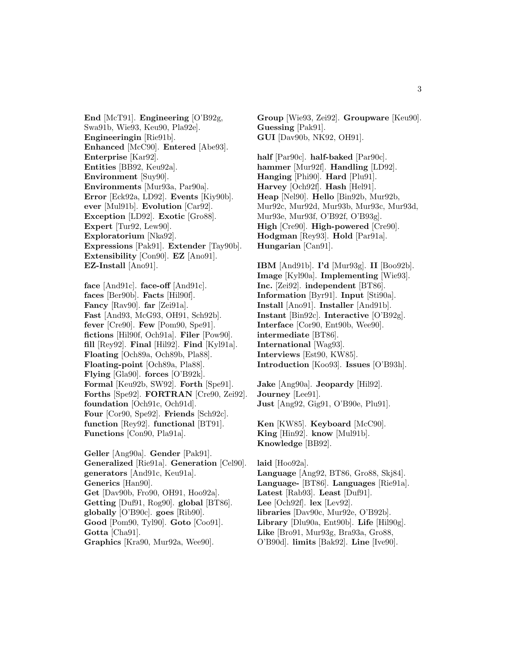**End** [McT91]. **Engineering** [O'B92g, Swa91b, Wie93, Keu90, Pla92e]. **Engineeringin** [Rie91b]. **Enhanced** [McC90]. **Entered** [Abe93]. **Enterprise** [Kar92]. **Entities** [BB92, Keu92a]. **Environment** [Suy90]. **Environments** [Mur93a, Par90a]. **Error** [Eck92a, LD92]. **Events** [Kiy90b]. **ever** [Mul91b]. **Evolution** [Car92]. **Exception** [LD92]. **Exotic** [Gro88]. **Expert** [Tur92, Lew90]. **Exploratorium** [Nka92]. **Expressions** [Pak91]. **Extender** [Tay90b]. **Extensibility** [Con90]. **EZ** [Ano91]. **EZ-Install** [Ano91].

**face** [And91c]. **face-off** [And91c]. **faces** [Ber90b]. **Facts** [Hil90f]. **Fancy** [Rav90]. **far** [Zei91a]. **Fast** [And93, McG93, OH91, Sch92b]. **fever** [Cre90]. **Few** [Pom90, Spe91]. **fictions** [Hil90f, Och91a]. **Filer** [Pow90]. **fill** [Rey92]. **Final** [Hil92]. **Find** [Kyl91a]. **Floating** [Och89a, Och89b, Pla88]. **Floating-point** [Och89a, Pla88]. **Flying** [Gla90]. **forces** [O'B92k]. **Formal** [Keu92b, SW92]. **Forth** [Spe91]. **Forths** [Spe92]. **FORTRAN** [Cre90, Zei92]. **foundation** [Och91c, Och91d]. **Four** [Cor90, Spe92]. **Friends** [Sch92c]. **function** [Rey92]. **functional** [BT91]. **Functions** [Con90, Pla91a].

**Geller** [Ang90a]. **Gender** [Pak91]. **Generalized** [Rie91a]. **Generation** [Cel90]. **generators** [And91c, Keu91a]. **Generics** [Han90]. **Get** [Dav90b, Fro90, OH91, Hoo92a]. **Getting** [Duf91, Rog90]. **global** [BT86]. **globally** [O'B90c]. **goes** [Rib90]. **Good** [Pom90, Tyl90]. **Goto** [Coo91]. **Gotta** [Cha91]. **Graphics** [Kra90, Mur92a, Wee90].

**Group** [Wie93, Zei92]. **Groupware** [Keu90]. **Guessing** [Pak91]. **GUI** [Dav90b, NK92, OH91].

**half** [Par90c]. **half-baked** [Par90c]. **hammer** [Mur92f]. **Handling** [LD92]. **Hanging** [Phi90]. **Hard** [Plu91]. **Harvey** [Och92f]. **Hash** [Hel91]. **Heap** [Nel90]. **Hello** [Bin92b, Mur92b, Mur92c, Mur92d, Mur93b, Mur93c, Mur93d, Mur93e, Mur93f, O'B92f, O'B93g]. **High** [Cre90]. **High-powered** [Cre90]. **Hodgman** [Rey93]. **Hold** [Par91a]. **Hungarian** [Can91].

**IBM** [And91b]. **I'd** [Mur93g]. **II** [Boo92b]. **Image** [Kyl90a]. **Implementing** [Wie93]. **Inc.** [Zei92]. **independent** [BT86]. **Information** [Byr91]. **Input** [Sti90a]. **Install** [Ano91]. **Installer** [And91b]. **Instant** [Bin92c]. **Interactive** [O'B92g]. **Interface** [Cor90, Ent90b, Wee90]. **intermediate** [BT86]. **International** [Wag93]. **Interviews** [Est90, KW85]. **Introduction** [Koo93]. **Issues** [O'B93h].

**Jake** [Ang90a]. **Jeopardy** [Hil92]. **Journey** [Lee91]. **Just** [Ang92, Gig91, O'B90e, Plu91].

**Ken** [KW85]. **Keyboard** [McC90]. **King** [Hin92]. **know** [Mul91b]. **Knowledge** [BB92].

**laid** [Hoo92a]. **Language** [Ang92, BT86, Gro88, Skj84]. **Language-** [BT86]. **Languages** [Rie91a]. **Latest** [Rab93]. **Least** [Duf91]. **Lee** [Och92f]. **lex** [Lev92]. **libraries** [Dav90c, Mur92e, O'B92b]. **Library** [Dlu90a, Ent90b]. **Life** [Hil90g]. **Like** [Bro91, Mur93g, Bra93a, Gro88, O'B90d]. **limits** [Bak92]. **Line** [Ive90].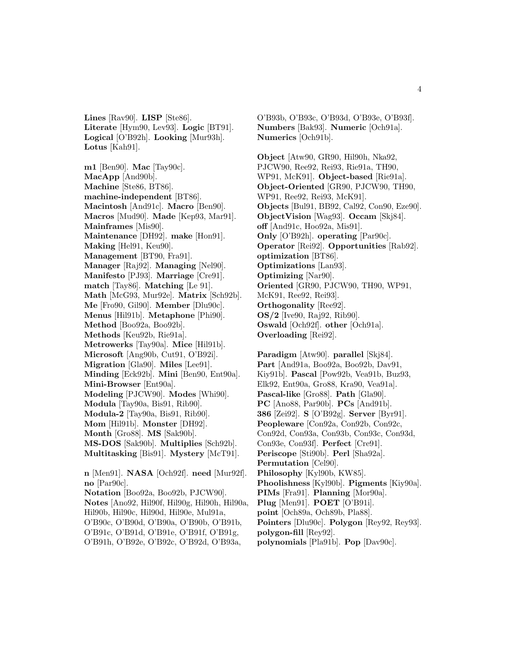**Lines** [Rav90]. **LISP** [Ste86]. **Literate** [Hym90, Lev93]. **Logic** [BT91]. **Logical** [O'B92h]. **Looking** [Mur93h]. **Lotus** [Kah91].

**m1** [Ben90]. **Mac** [Tay90c]. **MacApp** [And90b]. **Machine** [Ste86, BT86]. **machine-independent** [BT86]. **Macintosh** [And91c]. **Macro** [Ben90]. **Macros** [Mud90]. **Made** [Kep93, Mar91]. **Mainframes** [Mis90]. **Maintenance** [DH92]. **make** [Hon91]. **Making** [Hel91, Keu90]. **Management** [BT90, Fra91]. **Manager** [Raj92]. **Managing** [Nel90]. **Manifesto** [PJ93]. **Marriage** [Cre91]. **match** [Tay86]. **Matching** [Le 91]. **Math** [McG93, Mur92e]. **Matrix** [Sch92b]. **Me** [Fro90, Gil90]. **Member** [Dlu90c]. **Menus** [Hil91b]. **Metaphone** [Phi90]. **Method** [Boo92a, Boo92b]. **Methods** [Keu92b, Rie91a]. **Metrowerks** [Tay90a]. **Mice** [Hil91b]. **Microsoft** [Ang90b, Cut91, O'B92i]. **Migration** [Gla90]. **Miles** [Lee91]. **Minding** [Eck92b]. **Mini** [Ben90, Ent90a]. **Mini-Browser** [Ent90a]. **Modeling** [PJCW90]. **Modes** [Whi90]. **Modula** [Tay90a, Bis91, Rib90]. **Modula-2** [Tay90a, Bis91, Rib90]. **Mom** [Hil91b]. **Monster** [DH92]. **Month** [Gro88]. **MS** [Sak90b]. **MS-DOS** [Sak90b]. **Multiplies** [Sch92b]. **Multitasking** [Bis91]. **Mystery** [McT91]. **n** [Men91]. **NASA** [Och92f]. **need** [Mur92f]. **no** [Par90c].

**Notation** [Boo92a, Boo92b, PJCW90]. **Notes** [Ano92, Hil90f, Hil90g, Hil90h, Hil90a, Hil90b, Hil90c, Hil90d, Hil90e, Mul91a, O'B90c, O'B90d, O'B90a, O'B90b, O'B91b, O'B91c, O'B91d, O'B91e, O'B91f, O'B91g, O'B91h, O'B92e, O'B92c, O'B92d, O'B93a,

O'B93b, O'B93c, O'B93d, O'B93e, O'B93f]. **Numbers** [Bak93]. **Numeric** [Och91a]. **Numerics** [Och91b].

**Object** [Atw90, GR90, Hil90h, Nka92, PJCW90, Ree92, Rei93, Rie91a, TH90, WP91, McK91]. **Object-based** [Rie91a]. **Object-Oriented** [GR90, PJCW90, TH90, WP91, Ree92, Rei93, McK91]. **Objects** [Bul91, BB92, Cal92, Con90, Eze90]. **ObjectVision** [Wag93]. **Occam** [Skj84]. **off** [And91c, Hoo92a, Mis91]. **Only** [O'B92h]. **operating** [Par90c]. **Operator** [Rei92]. **Opportunities** [Rab92]. **optimization** [BT86]. **Optimizations** [Lan93]. **Optimizing** [Nar90]. **Oriented** [GR90, PJCW90, TH90, WP91, McK91, Ree92, Rei93]. **Orthogonality** [Ree92]. **OS/2** [Ive90, Raj92, Rib90]. **Oswald** [Och92f]. **other** [Och91a]. **Overloading** [Rei92].

**Paradigm** [Atw90]. **parallel** [Skj84]. **Part** [And91a, Boo92a, Boo92b, Dav91, Kiy91b]. **Pascal** [Pow92b, Vea91b, Buz93, Elk92, Ent90a, Gro88, Kra90, Vea91a]. **Pascal-like** [Gro88]. **Path** [Gla90]. **PC** [Ano88, Par90b]. **PCs** [And91b]. **386** [Zei92]. **S** [O'B92g]. **Server** [Byr91]. **Peopleware** [Con92a, Con92b, Con92c, Con92d, Con93a, Con93b, Con93c, Con93d, Con93e, Con93f]. **Perfect** [Cre91]. **Periscope** [Sti90b]. **Perl** [Sha92a]. **Permutation** [Cel90]. **Philosophy** [Kyl90b, KW85]. **Phoolishness** [Kyl90b]. **Pigments** [Kiy90a]. **PIMs** [Fra91]. **Planning** [Mor90a]. **Plug** [Men91]. **POET** [O'B91i]. **point** [Och89a, Och89b, Pla88]. **Pointers** [Dlu90c]. **Polygon** [Rey92, Rey93]. **polygon-fill** [Rey92]. **polynomials** [Pla91b]. **Pop** [Dav90c].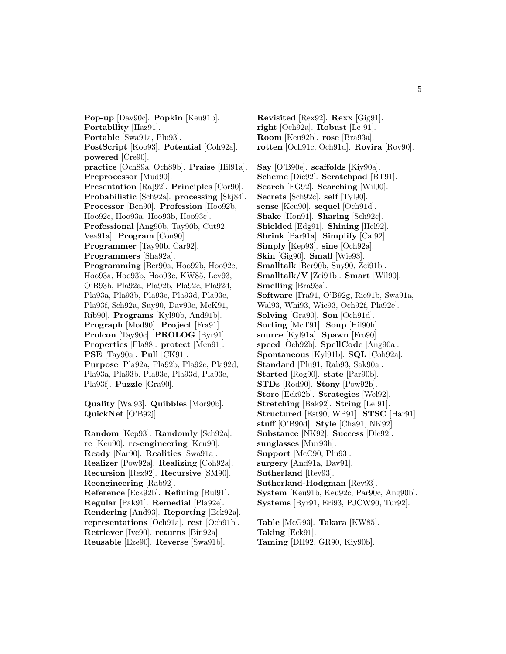**Pop-up** [Dav90c]. **Popkin** [Keu91b]. **Portability** [Haz91]. **Portable** [Swa91a, Plu93]. **PostScript** [Koo93]. **Potential** [Coh92a]. **powered** [Cre90]. **practice** [Och89a, Och89b]. **Praise** [Hil91a]. **Preprocessor** [Mud90]. **Presentation** [Raj92]. **Principles** [Cor90]. **Probabilistic** [Sch92a]. **processing** [Skj84]. **Processor** [Ben90]. **Profession** [Hoo92b, Hoo92c, Hoo93a, Hoo93b, Hoo93c]. **Professional** [Ang90b, Tay90b, Cut92, Vea91a]. **Program** [Con90]. **Programmer** [Tay90b, Car92]. **Programmers** [Sha92a]. **Programming** [Ber90a, Hoo92b, Hoo92c, Hoo93a, Hoo93b, Hoo93c, KW85, Lev93, O'B93h, Pla92a, Pla92b, Pla92c, Pla92d, Pla93a, Pla93b, Pla93c, Pla93d, Pla93e, Pla93f, Sch92a, Suy90, Dav90c, McK91, Rib90]. **Programs** [Kyl90b, And91b]. **Prograph** [Mod90]. **Project** [Fra91]. **Prolcon** [Tay90c]. **PROLOG** [Byr91]. **Properties** [Pla88]. **protect** [Men91]. **PSE** [Tay90a]. **Pull** [CK91]. **Purpose** [Pla92a, Pla92b, Pla92c, Pla92d, Pla93a, Pla93b, Pla93c, Pla93d, Pla93e, Pla93f]. **Puzzle** [Gra90].

**Quality** [Wal93]. **Quibbles** [Mor90b]. **QuickNet** [O'B92j].

**Random** [Kep93]. **Randomly** [Sch92a]. **re** [Keu90]. **re-engineering** [Keu90]. **Ready** [Nar90]. **Realities** [Swa91a]. **Realizer** [Pow92a]. **Realizing** [Coh92a]. **Recursion** [Rex92]. **Recursive** [SM90]. **Reengineering** [Rab92]. **Reference** [Eck92b]. **Refining** [Bul91]. **Regular** [Pak91]. **Remedial** [Pla92e]. **Rendering** [And93]. **Reporting** [Eck92a]. **representations** [Och91a]. **rest** [Och91b]. **Retriever** [Ive90]. **returns** [Bin92a]. **Reusable** [Eze90]. **Reverse** [Swa91b].

**Revisited** [Rex92]. **Rexx** [Gig91]. **right** [Och92a]. **Robust** [Le 91]. **Room** [Keu92b]. **rose** [Bra93a]. **rotten** [Och91c, Och91d]. **Rovira** [Rov90].

**Say** [O'B90e]. **scaffolds** [Kiy90a]. **Scheme** [Dic92]. **Scratchpad** [BT91]. **Search** [FG92]. **Searching** [Wil90]. **Secrets** [Sch92c]. **self** [Tyl90]. **sense** [Keu90]. **sequel** [Och91d]. **Shake** [Hon91]. **Sharing** [Sch92c]. **Shielded** [Edg91]. **Shining** [Hel92]. **Shrink** [Par91a]. **Simplify** [Cal92]. **Simply** [Kep93]. **sine** [Och92a]. **Skin** [Gig90]. **Small** [Wie93]. **Smalltalk** [Ber90b, Suy90, Zei91b]. **Smalltalk/V** [Zei91b]. **Smart** [Wil90]. **Smelling** [Bra93a]. **Software** [Fra91, O'B92g, Rie91b, Swa91a, Wal93, Whi93, Wie93, Och92f, Pla92e]. **Solving** [Gra90]. **Son** [Och91d]. **Sorting** [McT91]. **Soup** [Hil90h]. **source** [Kyl91a]. **Spawn** [Fro90]. **speed** [Och92b]. **SpellCode** [Ang90a]. **Spontaneous** [Kyl91b]. **SQL** [Coh92a]. **Standard** [Plu91, Rab93, Sak90a]. **Started** [Rog90]. **state** [Par90b]. **STDs** [Rod90]. **Stony** [Pow92b]. **Store** [Eck92b]. **Strategies** [Wel92]. **Stretching** [Bak92]. **String** [Le 91]. **Structured** [Est90, WP91]. **STSC** [Har91]. **stuff** [O'B90d]. **Style** [Cha91, NK92]. **Substance** [NK92]. **Success** [Dic92]. **sunglasses** [Mur93h]. **Support** [McC90, Plu93]. **surgery** [And91a, Dav91]. **Sutherland** [Rey93]. **Sutherland-Hodgman** [Rey93]. **System** [Keu91b, Keu92c, Par90c, Ang90b]. **Systems** [Byr91, Eri93, PJCW90, Tur92]. **Table** [McG93]. **Takara** [KW85]. **Taking** [Eck91].

**Taming** [DH92, GR90, Kiy90b].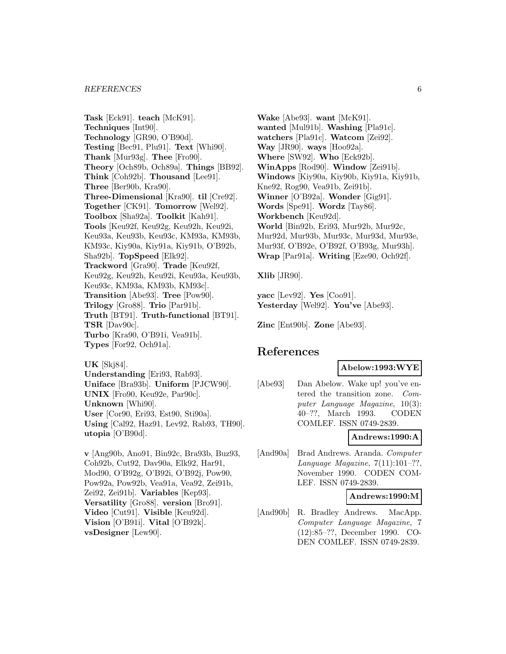**Task** [Eck91]. **teach** [McK91]. **Techniques** [Int90]. **Technology** [GR90, O'B90d]. **Testing** [Bec91, Plu91]. **Text** [Whi90]. **Thank** [Mur93g]. **Thee** [Fro90]. **Theory** [Och89b, Och89a]. **Things** [BB92]. **Think** [Coh92b]. **Thousand** [Lee91]. **Three** [Ber90b, Kra90]. **Three-Dimensional** [Kra90]. **til** [Cre92]. **Together** [CK91]. **Tomorrow** [Wel92]. **Toolbox** [Sha92a]. **Toolkit** [Kah91]. **Tools** [Keu92f, Keu92g, Keu92h, Keu92i, Keu93a, Keu93b, Keu93c, KM93a, KM93b, KM93c, Kiy90a, Kiy91a, Kiy91b, O'B92b, Sha92b]. **TopSpeed** [Elk92]. **Trackword** [Gra90]. **Trade** [Keu92f, Keu92g, Keu92h, Keu92i, Keu93a, Keu93b, Keu93c, KM93a, KM93b, KM93c]. **Transition** [Abe93]. **Tree** [Pow90]. **Trilogy** [Gro88]. **Trio** [Par91b]. **Truth** [BT91]. **Truth-functional** [BT91]. **TSR** [Dav90c]. **Turbo** [Kra90, O'B91i, Vea91b]. **Types** [For92, Och91a].

**UK** [Skj84].

**Understanding** [Eri93, Rab93]. **Uniface** [Bra93b]. **Uniform** [PJCW90]. **UNIX** [Fro90, Keu92e, Par90c]. **Unknown** [Whi90]. **User** [Cor90, Eri93, Est90, Sti90a]. **Using** [Cal92, Haz91, Lev92, Rab93, TH90]. **utopia** [O'B90d].

**v** [Ang90b, Ano91, Bin92c, Bra93b, Buz93, Coh92b, Cut92, Dav90a, Elk92, Har91, Mod90, O'B92g, O'B92i, O'B92j, Pow90, Pow92a, Pow92b, Vea91a, Vea92, Zei91b, Zei92, Zei91b]. **Variables** [Kep93]. **Versatility** [Gro88]. **version** [Bro91]. **Video** [Cut91]. **Visible** [Keu92d]. **Vision** [O'B91i]. **Vital** [O'B92k]. **vsDesigner** [Lew90].

**Wake** [Abe93]. **want** [McK91]. **wanted** [Mul91b]. **Washing** [Pla91c]. **watchers** [Pla91c]. **Watcom** [Zei92]. **Way** [JR90]. **ways** [Hoo92a]. **Where** [SW92]. **Who** [Eck92b]. **WinApps** [Rod90]. **Window** [Zei91b]. **Windows** [Kiy90a, Kiy90b, Kiy91a, Kiy91b, Kne92, Rog90, Vea91b, Zei91b]. **Winner** [O'B92a]. **Wonder** [Gig91]. **Words** [Spe91]. **Wordz** [Tay86]. **Workbench** [Keu92d]. **World** [Bin92b, Eri93, Mur92b, Mur92c, Mur92d, Mur93b, Mur93c, Mur93d, Mur93e, Mur93f, O'B92e, O'B92f, O'B93g, Mur93h]. **Wrap** [Par91a]. **Writing** [Eze90, Och92f].

**Xlib** [JR90].

**yacc** [Lev92]. **Yes** [Coo91]. **Yesterday** [Wel92]. **You've** [Abe93].

**Zinc** [Ent90b]. **Zone** [Abe93].

# **References**

# **Abelow:1993:WYE**

[Abe93] Dan Abelow. Wake up! you've entered the transition zone. Computer Language Magazine, 10(3): 40–??, March 1993. CODEN COMLEF. ISSN 0749-2839.

# **Andrews:1990:A**

[And90a] Brad Andrews. Aranda. Computer Language Magazine,  $7(11):101-??$ , November 1990. CODEN COM-LEF. ISSN 0749-2839.

#### **Andrews:1990:M**

[And90b] R. Bradley Andrews. MacApp. Computer Language Magazine, 7 (12):85–??, December 1990. CO-DEN COMLEF. ISSN 0749-2839.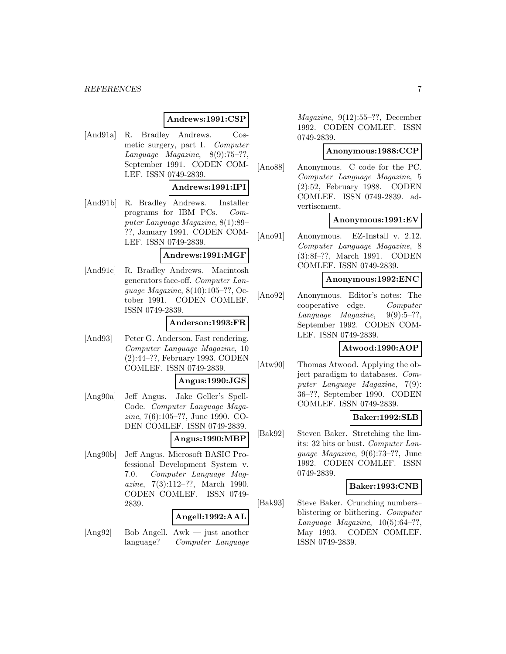# **Andrews:1991:CSP**

[And91a] R. Bradley Andrews. Cosmetic surgery, part I. Computer Language Magazine, 8(9):75–??, September 1991. CODEN COM-LEF. ISSN 0749-2839.

# **Andrews:1991:IPI**

[And91b] R. Bradley Andrews. Installer programs for IBM PCs. Computer Language Magazine, 8(1):89– ??, January 1991. CODEN COM-LEF. ISSN 0749-2839.

#### **Andrews:1991:MGF**

[And91c] R. Bradley Andrews. Macintosh generators face-off. Computer Language Magazine, 8(10):105–??, October 1991. CODEN COMLEF. ISSN 0749-2839.

#### **Anderson:1993:FR**

[And93] Peter G. Anderson. Fast rendering. Computer Language Magazine, 10 (2):44–??, February 1993. CODEN COMLEF. ISSN 0749-2839.

#### **Angus:1990:JGS**

[Ang90a] Jeff Angus. Jake Geller's Spell-Code. Computer Language Magazine, 7(6):105–??, June 1990. CO-DEN COMLEF. ISSN 0749-2839.

# **Angus:1990:MBP**

[Ang90b] Jeff Angus. Microsoft BASIC Professional Development System v. 7.0. Computer Language Magazine, 7(3):112–??, March 1990. CODEN COMLEF. ISSN 0749- 2839.

# **Angell:1992:AAL**

[Ang92] Bob Angell. Awk — just another language? Computer Language Magazine, 9(12):55–??, December 1992. CODEN COMLEF. ISSN 0749-2839.

# **Anonymous:1988:CCP**

[Ano88] Anonymous. C code for the PC. Computer Language Magazine, 5 (2):52, February 1988. CODEN COMLEF. ISSN 0749-2839. advertisement.

# **Anonymous:1991:EV**

[Ano91] Anonymous. EZ-Install v. 2.12. Computer Language Magazine, 8 (3):8f–??, March 1991. CODEN COMLEF. ISSN 0749-2839.

#### **Anonymous:1992:ENC**

[Ano92] Anonymous. Editor's notes: The cooperative edge. Computer Language Magazine, 9(9):5–??, September 1992. CODEN COM-LEF. ISSN 0749-2839.

# **Atwood:1990:AOP**

[Atw90] Thomas Atwood. Applying the object paradigm to databases. Computer Language Magazine, 7(9): 36–??, September 1990. CODEN COMLEF. ISSN 0749-2839.

# **Baker:1992:SLB**

[Bak92] Steven Baker. Stretching the limits: 32 bits or bust. Computer Language Magazine, 9(6):73–??, June 1992. CODEN COMLEF. ISSN 0749-2839.

# **Baker:1993:CNB**

[Bak93] Steve Baker. Crunching numbers– blistering or blithering. Computer Language Magazine, 10(5):64–??, May 1993. CODEN COMLEF. ISSN 0749-2839.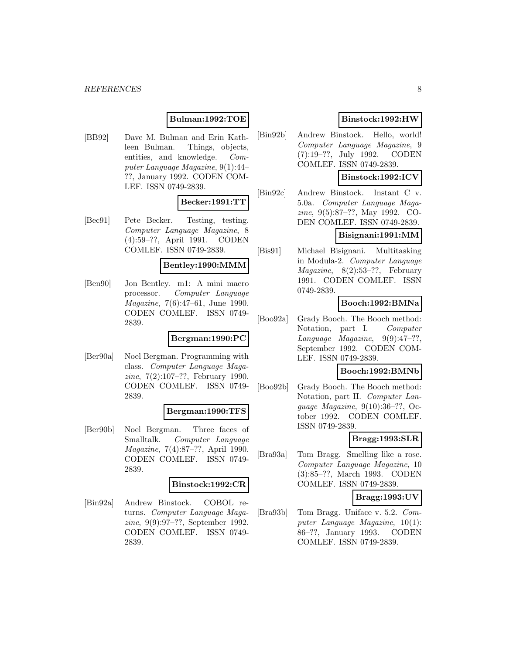# **Bulman:1992:TOE**

[BB92] Dave M. Bulman and Erin Kathleen Bulman. Things, objects, entities, and knowledge. Computer Language Magazine, 9(1):44– ??, January 1992. CODEN COM-LEF. ISSN 0749-2839.

#### **Becker:1991:TT**

[Bec91] Pete Becker. Testing, testing. Computer Language Magazine, 8 (4):59–??, April 1991. CODEN COMLEF. ISSN 0749-2839.

#### **Bentley:1990:MMM**

[Ben90] Jon Bentley. m1: A mini macro processor. Computer Language Magazine, 7(6):47–61, June 1990. CODEN COMLEF. ISSN 0749- 2839.

#### **Bergman:1990:PC**

[Ber90a] Noel Bergman. Programming with class. Computer Language Magazine, 7(2):107–??, February 1990. CODEN COMLEF. ISSN 0749- 2839.

# **Bergman:1990:TFS**

[Ber90b] Noel Bergman. Three faces of Smalltalk. Computer Language Magazine, 7(4):87–??, April 1990. CODEN COMLEF. ISSN 0749- 2839.

#### **Binstock:1992:CR**

[Bin92a] Andrew Binstock. COBOL returns. Computer Language Magazine, 9(9):97–??, September 1992. CODEN COMLEF. ISSN 0749- 2839.

# **Binstock:1992:HW**

[Bin92b] Andrew Binstock. Hello, world! Computer Language Magazine, 9 (7):19–??, July 1992. CODEN COMLEF. ISSN 0749-2839.

# **Binstock:1992:ICV**

[Bin92c] Andrew Binstock. Instant C v. 5.0a. Computer Language Magazine, 9(5):87–??, May 1992. CO-DEN COMLEF. ISSN 0749-2839.

# **Bisignani:1991:MM**

[Bis91] Michael Bisignani. Multitasking in Modula-2. Computer Language Magazine, 8(2):53–??, February 1991. CODEN COMLEF. ISSN 0749-2839.

# **Booch:1992:BMNa**

[Boo92a] Grady Booch. The Booch method: Notation, part I. Computer Language Magazine, 9(9):47–??, September 1992. CODEN COM-LEF. ISSN 0749-2839.

# **Booch:1992:BMNb**

[Boo92b] Grady Booch. The Booch method: Notation, part II. Computer Language Magazine, 9(10):36–??, October 1992. CODEN COMLEF. ISSN 0749-2839.

# **Bragg:1993:SLR**

[Bra93a] Tom Bragg. Smelling like a rose. Computer Language Magazine, 10 (3):85–??, March 1993. CODEN COMLEF. ISSN 0749-2839.

# **Bragg:1993:UV**

[Bra93b] Tom Bragg. Uniface v. 5.2. Computer Language Magazine, 10(1): 86–??, January 1993. CODEN COMLEF. ISSN 0749-2839.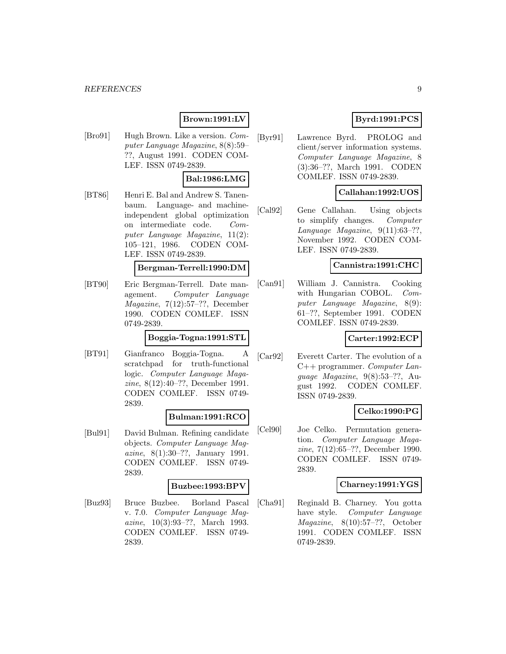# **Brown:1991:LV**

[Bro91] Hugh Brown. Like a version. Computer Language Magazine, 8(8):59– ??, August 1991. CODEN COM-LEF. ISSN 0749-2839.

# **Bal:1986:LMG**

[BT86] Henri E. Bal and Andrew S. Tanenbaum. Language- and machineindependent global optimization on intermediate code. Computer Language Magazine, 11(2): 105–121, 1986. CODEN COM-LEF. ISSN 0749-2839.

#### **Bergman-Terrell:1990:DM**

[BT90] Eric Bergman-Terrell. Date management. Computer Language Magazine, 7(12):57–??, December 1990. CODEN COMLEF. ISSN 0749-2839.

#### **Boggia-Togna:1991:STL**

[BT91] Gianfranco Boggia-Togna. A scratchpad for truth-functional logic. Computer Language Magazine, 8(12):40–??, December 1991. CODEN COMLEF. ISSN 0749- 2839.

# **Bulman:1991:RCO**

[Bul91] David Bulman. Refining candidate objects. Computer Language Magazine, 8(1):30–??, January 1991. CODEN COMLEF. ISSN 0749- 2839.

# **Buzbee:1993:BPV**

[Buz93] Bruce Buzbee. Borland Pascal v. 7.0. Computer Language Magazine, 10(3):93–??, March 1993. CODEN COMLEF. ISSN 0749- 2839.

# **Byrd:1991:PCS**

[Byr91] Lawrence Byrd. PROLOG and client/server information systems. Computer Language Magazine, 8 (3):36–??, March 1991. CODEN COMLEF. ISSN 0749-2839.

# **Callahan:1992:UOS**

[Cal92] Gene Callahan. Using objects to simplify changes. Computer Language Magazine, 9(11):63–??, November 1992. CODEN COM-LEF. ISSN 0749-2839.

# **Cannistra:1991:CHC**

[Can91] William J. Cannistra. Cooking with Hungarian COBOL. Computer Language Magazine, 8(9): 61–??, September 1991. CODEN COMLEF. ISSN 0749-2839.

# **Carter:1992:ECP**

[Car92] Everett Carter. The evolution of a C++ programmer. Computer Language Magazine, 9(8):53–??, August 1992. CODEN COMLEF. ISSN 0749-2839.

# **Celko:1990:PG**

[Cel90] Joe Celko. Permutation generation. Computer Language Magazine, 7(12):65–??, December 1990. CODEN COMLEF. ISSN 0749- 2839.

# **Charney:1991:YGS**

[Cha91] Reginald B. Charney. You gotta have style. Computer Language Magazine, 8(10):57–??, October 1991. CODEN COMLEF. ISSN 0749-2839.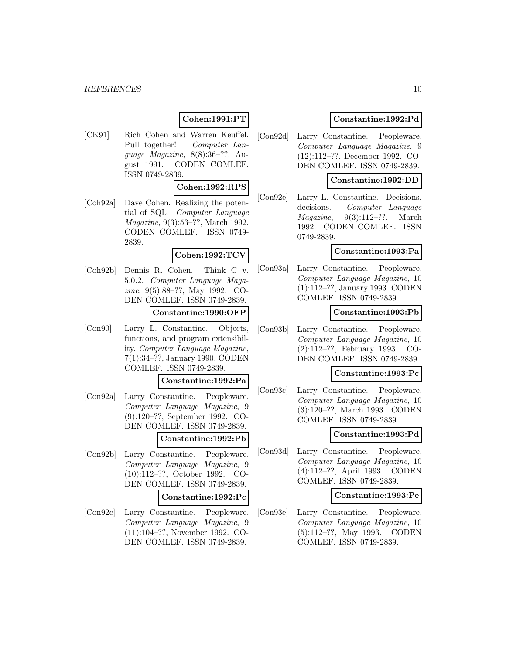# **Cohen:1991:PT**

[CK91] Rich Cohen and Warren Keuffel. Pull together! Computer Language Magazine, 8(8):36–??, August 1991. CODEN COMLEF. ISSN 0749-2839.

# **Cohen:1992:RPS**

[Coh92a] Dave Cohen. Realizing the potential of SQL. Computer Language Magazine, 9(3):53–??, March 1992. CODEN COMLEF. ISSN 0749- 2839.

#### **Cohen:1992:TCV**

[Coh92b] Dennis R. Cohen. Think C v. 5.0.2. Computer Language Magazine, 9(5):88–??, May 1992. CO-DEN COMLEF. ISSN 0749-2839.

# **Constantine:1990:OFP**

[Con90] Larry L. Constantine. Objects, functions, and program extensibility. Computer Language Magazine, 7(1):34–??, January 1990. CODEN COMLEF. ISSN 0749-2839.

#### **Constantine:1992:Pa**

[Con92a] Larry Constantine. Peopleware. Computer Language Magazine, 9 (9):120–??, September 1992. CO-DEN COMLEF. ISSN 0749-2839.

# **Constantine:1992:Pb**

[Con92b] Larry Constantine. Peopleware. Computer Language Magazine, 9 (10):112–??, October 1992. CO-DEN COMLEF. ISSN 0749-2839.

#### **Constantine:1992:Pc**

[Con92c] Larry Constantine. Peopleware. Computer Language Magazine, 9 (11):104–??, November 1992. CO-DEN COMLEF. ISSN 0749-2839.

# **Constantine:1992:Pd**

[Con92d] Larry Constantine. Peopleware. Computer Language Magazine, 9 (12):112–??, December 1992. CO-DEN COMLEF. ISSN 0749-2839.

# **Constantine:1992:DD**

[Con92e] Larry L. Constantine. Decisions, decisions. Computer Language Magazine, 9(3):112–??, March 1992. CODEN COMLEF. ISSN 0749-2839.

#### **Constantine:1993:Pa**

[Con93a] Larry Constantine. Peopleware. Computer Language Magazine, 10 (1):112–??, January 1993. CODEN COMLEF. ISSN 0749-2839.

#### **Constantine:1993:Pb**

[Con93b] Larry Constantine. Peopleware. Computer Language Magazine, 10 (2):112–??, February 1993. CO-DEN COMLEF. ISSN 0749-2839.

#### **Constantine:1993:Pc**

[Con93c] Larry Constantine. Peopleware. Computer Language Magazine, 10 (3):120–??, March 1993. CODEN COMLEF. ISSN 0749-2839.

# **Constantine:1993:Pd**

[Con93d] Larry Constantine. Peopleware. Computer Language Magazine, 10 (4):112–??, April 1993. CODEN COMLEF. ISSN 0749-2839.

#### **Constantine:1993:Pe**

[Con93e] Larry Constantine. Peopleware. Computer Language Magazine, 10 (5):112–??, May 1993. CODEN COMLEF. ISSN 0749-2839.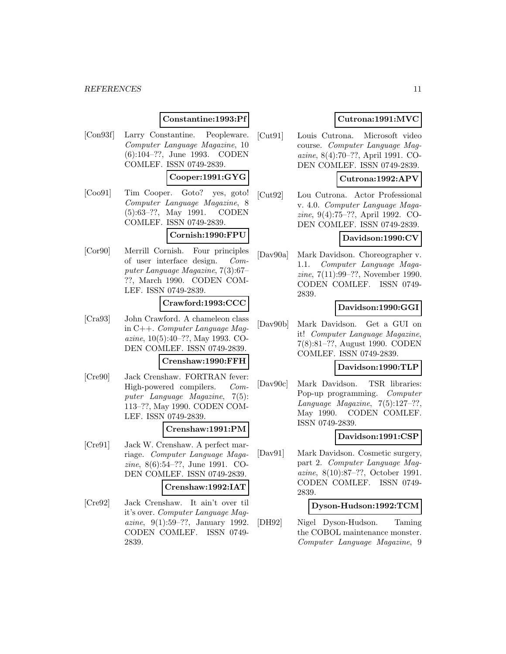# **Constantine:1993:Pf**

[Con93f] Larry Constantine. Peopleware. Computer Language Magazine, 10 (6):104–??, June 1993. CODEN COMLEF. ISSN 0749-2839.

# **Cooper:1991:GYG**

[Coo91] Tim Cooper. Goto? yes, goto! Computer Language Magazine, 8 (5):63–??, May 1991. CODEN COMLEF. ISSN 0749-2839.

# **Cornish:1990:FPU**

[Cor90] Merrill Cornish. Four principles of user interface design. Computer Language Magazine, 7(3):67– ??, March 1990. CODEN COM-LEF. ISSN 0749-2839.

# **Crawford:1993:CCC**

[Cra93] John Crawford. A chameleon class in C++. Computer Language Magazine, 10(5):40–??, May 1993. CO-DEN COMLEF. ISSN 0749-2839.

#### **Crenshaw:1990:FFH**

[Cre90] Jack Crenshaw. FORTRAN fever: High-powered compilers. Computer Language Magazine, 7(5): 113–??, May 1990. CODEN COM-LEF. ISSN 0749-2839.

#### **Crenshaw:1991:PM**

[Cre91] Jack W. Crenshaw. A perfect marriage. Computer Language Magazine, 8(6):54–??, June 1991. CO-DEN COMLEF. ISSN 0749-2839.

#### **Crenshaw:1992:IAT**

[Cre92] Jack Crenshaw. It ain't over til it's over. Computer Language Magazine, 9(1):59–??, January 1992. CODEN COMLEF. ISSN 0749- 2839.

# **Cutrona:1991:MVC**

[Cut91] Louis Cutrona. Microsoft video course. Computer Language Magazine, 8(4):70–??, April 1991. CO-DEN COMLEF. ISSN 0749-2839.

# **Cutrona:1992:APV**

[Cut92] Lou Cutrona. Actor Professional v. 4.0. Computer Language Magazine, 9(4):75–??, April 1992. CO-DEN COMLEF. ISSN 0749-2839.

# **Davidson:1990:CV**

[Dav90a] Mark Davidson. Choreographer v. 1.1. Computer Language Magazine, 7(11):99–??, November 1990. CODEN COMLEF. ISSN 0749- 2839.

# **Davidson:1990:GGI**

[Dav90b] Mark Davidson. Get a GUI on it! Computer Language Magazine, 7(8):81–??, August 1990. CODEN COMLEF. ISSN 0749-2839.

# **Davidson:1990:TLP**

[Dav90c] Mark Davidson. TSR libraries: Pop-up programming. Computer Language Magazine, 7(5):127–??, May 1990. CODEN COMLEF. ISSN 0749-2839.

# **Davidson:1991:CSP**

[Dav91] Mark Davidson. Cosmetic surgery, part 2. Computer Language Magazine, 8(10):87–??, October 1991. CODEN COMLEF. ISSN 0749- 2839.

# **Dyson-Hudson:1992:TCM**

[DH92] Nigel Dyson-Hudson. Taming the COBOL maintenance monster. Computer Language Magazine, 9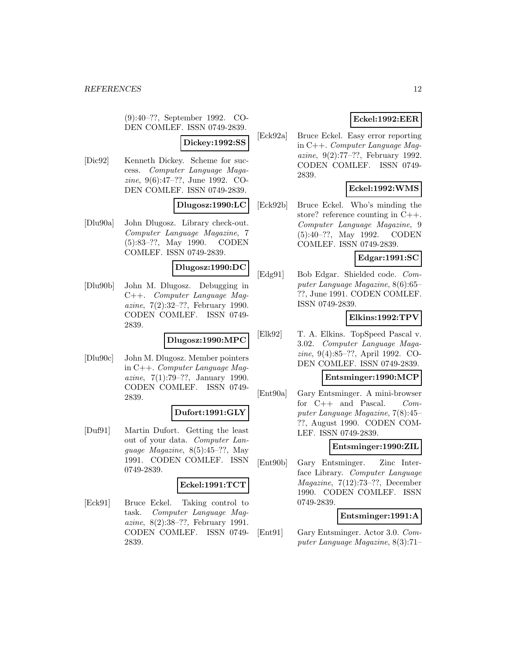(9):40–??, September 1992. CO-DEN COMLEF. ISSN 0749-2839.

**Dickey:1992:SS**

[Dic92] Kenneth Dickey. Scheme for success. Computer Language Magazine, 9(6):47–??, June 1992. CO-DEN COMLEF. ISSN 0749-2839.

# **Dlugosz:1990:LC**

[Dlu90a] John Dlugosz. Library check-out. Computer Language Magazine, 7 (5):83–??, May 1990. CODEN COMLEF. ISSN 0749-2839.

# **Dlugosz:1990:DC**

[Dlu90b] John M. Dlugosz. Debugging in C++. Computer Language Magazine, 7(2):32–??, February 1990. CODEN COMLEF. ISSN 0749- 2839.

**Dlugosz:1990:MPC**

[Dlu90c] John M. Dlugosz. Member pointers in C++. Computer Language Magazine, 7(1):79–??, January 1990. CODEN COMLEF. ISSN 0749- 2839.

# **Dufort:1991:GLY**

[Duf91] Martin Dufort. Getting the least out of your data. Computer Language Magazine, 8(5):45–??, May 1991. CODEN COMLEF. ISSN 0749-2839.

#### **Eckel:1991:TCT**

[Eck91] Bruce Eckel. Taking control to task. Computer Language Magazine, 8(2):38–??, February 1991. CODEN COMLEF. ISSN 0749- 2839.

# **Eckel:1992:EER**

[Eck92a] Bruce Eckel. Easy error reporting in C++. Computer Language Magazine, 9(2):77–??, February 1992. CODEN COMLEF. ISSN 0749- 2839.

# **Eckel:1992:WMS**

[Eck92b] Bruce Eckel. Who's minding the store? reference counting in C++. Computer Language Magazine, 9 (5):40–??, May 1992. CODEN COMLEF. ISSN 0749-2839.

# **Edgar:1991:SC**

[Edg91] Bob Edgar. Shielded code. Computer Language Magazine, 8(6):65– ??, June 1991. CODEN COMLEF. ISSN 0749-2839.

# **Elkins:1992:TPV**

[Elk92] T. A. Elkins. TopSpeed Pascal v. 3.02. Computer Language Magazine, 9(4):85–??, April 1992. CO-DEN COMLEF. ISSN 0749-2839.

# **Entsminger:1990:MCP**

[Ent90a] Gary Entsminger. A mini-browser for C++ and Pascal. Computer Language Magazine, 7(8):45– ??, August 1990. CODEN COM-LEF. ISSN 0749-2839.

# **Entsminger:1990:ZIL**

[Ent90b] Gary Entsminger. Zinc Interface Library. Computer Language Magazine, 7(12):73–??, December 1990. CODEN COMLEF. ISSN 0749-2839.

# **Entsminger:1991:A**

[Ent91] Gary Entsminger. Actor 3.0. Computer Language Magazine, 8(3):71–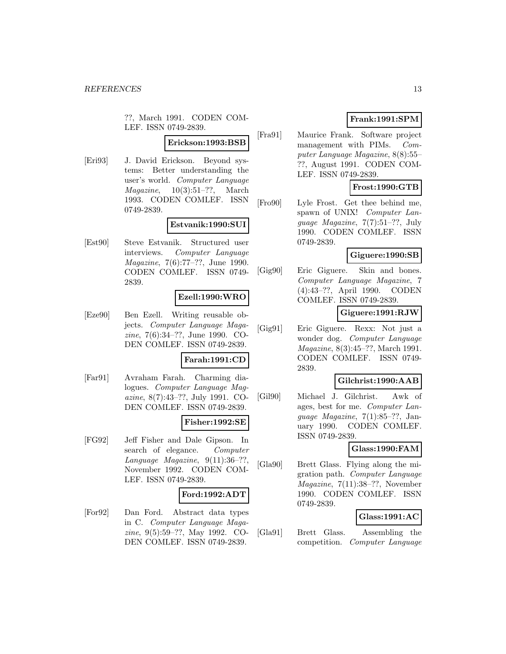??, March 1991. CODEN COM-LEF. ISSN 0749-2839.

# **Erickson:1993:BSB**

[Eri93] J. David Erickson. Beyond systems: Better understanding the user's world. Computer Language  $Magazine, \quad 10(3):51-??, \quad March$ 1993. CODEN COMLEF. ISSN 0749-2839.

# **Estvanik:1990:SUI**

[Est90] Steve Estvanik. Structured user interviews. Computer Language Magazine, 7(6):77–??, June 1990. CODEN COMLEF. ISSN 0749- 2839.

# **Ezell:1990:WRO**

[Eze90] Ben Ezell. Writing reusable objects. Computer Language Magazine, 7(6):34–??, June 1990. CO-DEN COMLEF. ISSN 0749-2839.

# **Farah:1991:CD**

[Far91] Avraham Farah. Charming dialogues. Computer Language Magazine, 8(7):43–??, July 1991. CO-DEN COMLEF. ISSN 0749-2839.

### **Fisher:1992:SE**

[FG92] Jeff Fisher and Dale Gipson. In search of elegance. Computer Language Magazine,  $9(11):36-??$ , November 1992. CODEN COM-LEF. ISSN 0749-2839.

# **Ford:1992:ADT**

[For92] Dan Ford. Abstract data types in C. Computer Language Magazine, 9(5):59–??, May 1992. CO-DEN COMLEF. ISSN 0749-2839.

# **Frank:1991:SPM**

[Fra91] Maurice Frank. Software project management with PIMs. Computer Language Magazine, 8(8):55– ??, August 1991. CODEN COM-LEF. ISSN 0749-2839.

# **Frost:1990:GTB**

[Fro90] Lyle Frost. Get thee behind me, spawn of UNIX! Computer Language Magazine, 7(7):51–??, July 1990. CODEN COMLEF. ISSN 0749-2839.

# **Giguere:1990:SB**

[Gig90] Eric Giguere. Skin and bones. Computer Language Magazine, 7 (4):43–??, April 1990. CODEN COMLEF. ISSN 0749-2839.

# **Giguere:1991:RJW**

[Gig91] Eric Giguere. Rexx: Not just a wonder dog. Computer Language Magazine, 8(3):45–??, March 1991. CODEN COMLEF. ISSN 0749- 2839.

# **Gilchrist:1990:AAB**

[Gil90] Michael J. Gilchrist. Awk of ages, best for me. Computer Language Magazine, 7(1):85–??, January 1990. CODEN COMLEF. ISSN 0749-2839.

# **Glass:1990:FAM**

[Gla90] Brett Glass. Flying along the migration path. Computer Language Magazine, 7(11):38–??, November 1990. CODEN COMLEF. ISSN 0749-2839.

# **Glass:1991:AC**

[Gla91] Brett Glass. Assembling the competition. Computer Language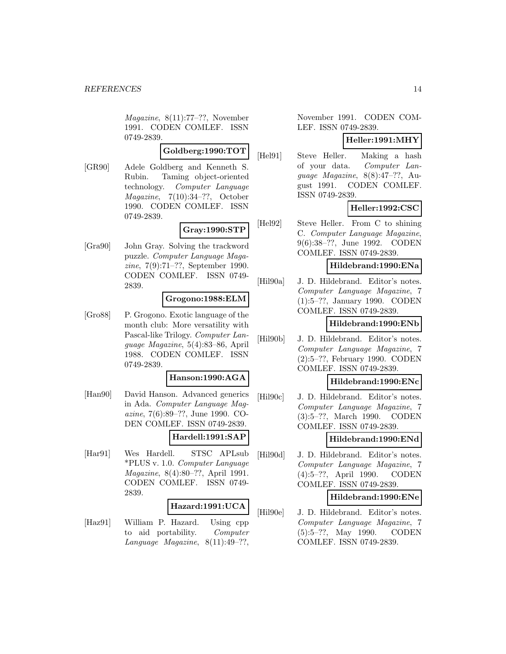Magazine, 8(11):77–??, November 1991. CODEN COMLEF. ISSN 0749-2839.

# **Goldberg:1990:TOT**

[GR90] Adele Goldberg and Kenneth S. Rubin. Taming object-oriented technology. Computer Language Magazine, 7(10):34–??, October 1990. CODEN COMLEF. ISSN 0749-2839.

# **Gray:1990:STP**

[Gra90] John Gray. Solving the trackword puzzle. Computer Language Magazine, 7(9):71–??, September 1990. CODEN COMLEF. ISSN 0749- 2839.

# **Grogono:1988:ELM**

[Gro88] P. Grogono. Exotic language of the month club: More versatility with Pascal-like Trilogy. Computer Language Magazine, 5(4):83–86, April 1988. CODEN COMLEF. ISSN 0749-2839.

# **Hanson:1990:AGA**

[Han90] David Hanson. Advanced generics in Ada. Computer Language Magazine, 7(6):89–??, June 1990. CO-DEN COMLEF. ISSN 0749-2839.

# **Hardell:1991:SAP**

[Har91] Wes Hardell. STSC APLsub \*PLUS v. 1.0. Computer Language Magazine, 8(4):80–??, April 1991. CODEN COMLEF. ISSN 0749- 2839.

# **Hazard:1991:UCA**

[Haz91] William P. Hazard. Using cpp to aid portability. Computer Language Magazine, 8(11):49–??,

November 1991. CODEN COM-LEF. ISSN 0749-2839.

# **Heller:1991:MHY**

[Hel91] Steve Heller. Making a hash of your data. Computer Language Magazine, 8(8):47–??, August 1991. CODEN COMLEF. ISSN 0749-2839.

# **Heller:1992:CSC**

[Hel92] Steve Heller. From C to shining C. Computer Language Magazine, 9(6):38–??, June 1992. CODEN COMLEF. ISSN 0749-2839.

# **Hildebrand:1990:ENa**

[Hil90a] J. D. Hildebrand. Editor's notes. Computer Language Magazine, 7 (1):5–??, January 1990. CODEN COMLEF. ISSN 0749-2839.

# **Hildebrand:1990:ENb**

[Hil90b] J. D. Hildebrand. Editor's notes. Computer Language Magazine, 7 (2):5–??, February 1990. CODEN COMLEF. ISSN 0749-2839.

# **Hildebrand:1990:ENc**

[Hil90c] J. D. Hildebrand. Editor's notes. Computer Language Magazine, 7 (3):5–??, March 1990. CODEN COMLEF. ISSN 0749-2839.

# **Hildebrand:1990:ENd**

[Hil90d] J. D. Hildebrand. Editor's notes. Computer Language Magazine, 7 (4):5–??, April 1990. CODEN COMLEF. ISSN 0749-2839.

# **Hildebrand:1990:ENe**

[Hil90e] J. D. Hildebrand. Editor's notes. Computer Language Magazine, 7 (5):5–??, May 1990. CODEN COMLEF. ISSN 0749-2839.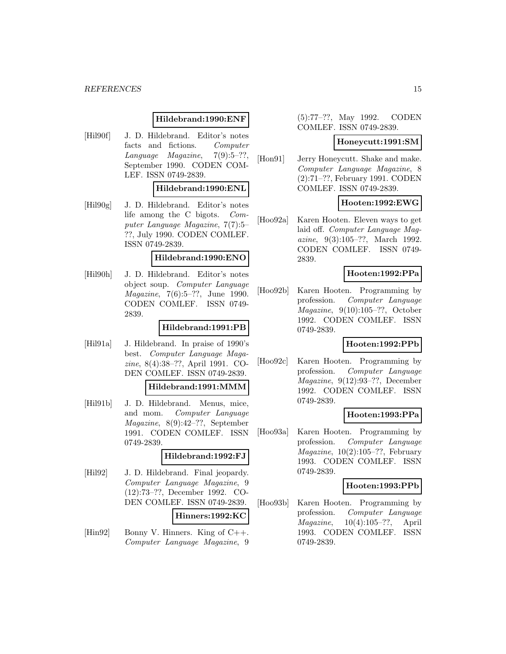# **Hildebrand:1990:ENF**

[Hil90f] J. D. Hildebrand. Editor's notes facts and fictions. Computer Language Magazine,  $7(9):5-??$ September 1990. CODEN COM-LEF. ISSN 0749-2839.

#### **Hildebrand:1990:ENL**

[Hil90g] J. D. Hildebrand. Editor's notes life among the C bigots. Computer Language Magazine, 7(7):5– ??, July 1990. CODEN COMLEF. ISSN 0749-2839.

# **Hildebrand:1990:ENO**

[Hil90h] J. D. Hildebrand. Editor's notes object soup. Computer Language Magazine, 7(6):5–??, June 1990. CODEN COMLEF. ISSN 0749- 2839.

# **Hildebrand:1991:PB**

[Hil91a] J. Hildebrand. In praise of 1990's best. Computer Language Magazine, 8(4):38–??, April 1991. CO-DEN COMLEF. ISSN 0749-2839.

#### **Hildebrand:1991:MMM**

[Hil91b] J. D. Hildebrand. Menus, mice, and mom. Computer Language Magazine, 8(9):42–??, September 1991. CODEN COMLEF. ISSN 0749-2839.

# **Hildebrand:1992:FJ**

[Hil92] J. D. Hildebrand. Final jeopardy. Computer Language Magazine, 9 (12):73–??, December 1992. CO-DEN COMLEF. ISSN 0749-2839.

# **Hinners:1992:KC**

[Hin92] Bonny V. Hinners. King of C++. Computer Language Magazine, 9

# (5):77–??, May 1992. CODEN COMLEF. ISSN 0749-2839.

#### **Honeycutt:1991:SM**

[Hon91] Jerry Honeycutt. Shake and make. Computer Language Magazine, 8 (2):71–??, February 1991. CODEN COMLEF. ISSN 0749-2839.

# **Hooten:1992:EWG**

[Hoo92a] Karen Hooten. Eleven ways to get laid off. Computer Language Magazine, 9(3):105–??, March 1992. CODEN COMLEF. ISSN 0749- 2839.

#### **Hooten:1992:PPa**

[Hoo92b] Karen Hooten. Programming by profession. Computer Language Magazine, 9(10):105–??, October 1992. CODEN COMLEF. ISSN 0749-2839.

# **Hooten:1992:PPb**

[Hoo92c] Karen Hooten. Programming by profession. Computer Language Magazine, 9(12):93–??, December 1992. CODEN COMLEF. ISSN 0749-2839.

#### **Hooten:1993:PPa**

[Hoo93a] Karen Hooten. Programming by profession. Computer Language  $Magazine, 10(2):105-??, February$ 1993. CODEN COMLEF. ISSN 0749-2839.

# **Hooten:1993:PPb**

[Hoo93b] Karen Hooten. Programming by profession. Computer Language Magazine, 10(4):105–??, April 1993. CODEN COMLEF. ISSN 0749-2839.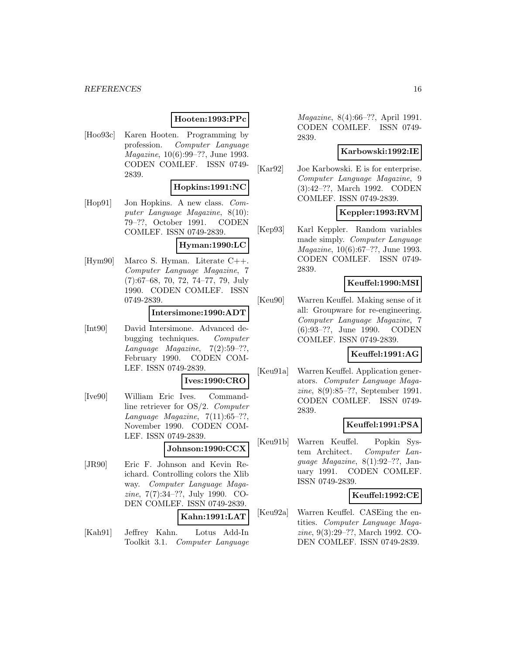# **Hooten:1993:PPc**

[Hoo93c] Karen Hooten. Programming by profession. Computer Language Magazine, 10(6):99–??, June 1993. CODEN COMLEF. ISSN 0749- 2839.

#### **Hopkins:1991:NC**

[Hop91] Jon Hopkins. A new class. Computer Language Magazine, 8(10): 79–??, October 1991. CODEN COMLEF. ISSN 0749-2839.

#### **Hyman:1990:LC**

[Hym90] Marco S. Hyman. Literate C++. Computer Language Magazine, 7 (7):67–68, 70, 72, 74–77, 79, July 1990. CODEN COMLEF. ISSN 0749-2839.

# **Intersimone:1990:ADT**

[Int90] David Intersimone. Advanced debugging techniques. Computer Language Magazine,  $7(2):59-??$ , February 1990. CODEN COM-LEF. ISSN 0749-2839.

#### **Ives:1990:CRO**

[Ive90] William Eric Ives. Commandline retriever for OS/2. Computer Language Magazine,  $7(11):65-??$ , November 1990. CODEN COM-LEF. ISSN 0749-2839.

#### **Johnson:1990:CCX**

[JR90] Eric F. Johnson and Kevin Reichard. Controlling colors the Xlib way. Computer Language Magazine, 7(7):34–??, July 1990. CO-DEN COMLEF. ISSN 0749-2839.

#### **Kahn:1991:LAT**

[Kah91] Jeffrey Kahn. Lotus Add-In Toolkit 3.1. Computer Language Magazine, 8(4):66–??, April 1991. CODEN COMLEF. ISSN 0749- 2839.

# **Karbowski:1992:IE**

[Kar92] Joe Karbowski. E is for enterprise. Computer Language Magazine, 9 (3):42–??, March 1992. CODEN COMLEF. ISSN 0749-2839.

#### **Keppler:1993:RVM**

[Kep93] Karl Keppler. Random variables made simply. Computer Language Magazine, 10(6):67–??, June 1993. CODEN COMLEF. ISSN 0749- 2839.

#### **Keuffel:1990:MSI**

[Keu90] Warren Keuffel. Making sense of it all: Groupware for re-engineering. Computer Language Magazine, 7 (6):93–??, June 1990. CODEN COMLEF. ISSN 0749-2839.

# **Keuffel:1991:AG**

[Keu91a] Warren Keuffel. Application generators. Computer Language Magazine, 8(9):85–??, September 1991. CODEN COMLEF. ISSN 0749- 2839.

# **Keuffel:1991:PSA**

[Keu91b] Warren Keuffel. Popkin System Architect. Computer Language Magazine, 8(1):92–??, January 1991. CODEN COMLEF. ISSN 0749-2839.

# **Keuffel:1992:CE**

[Keu92a] Warren Keuffel. CASEing the entities. Computer Language Magazine, 9(3):29–??, March 1992. CO-DEN COMLEF. ISSN 0749-2839.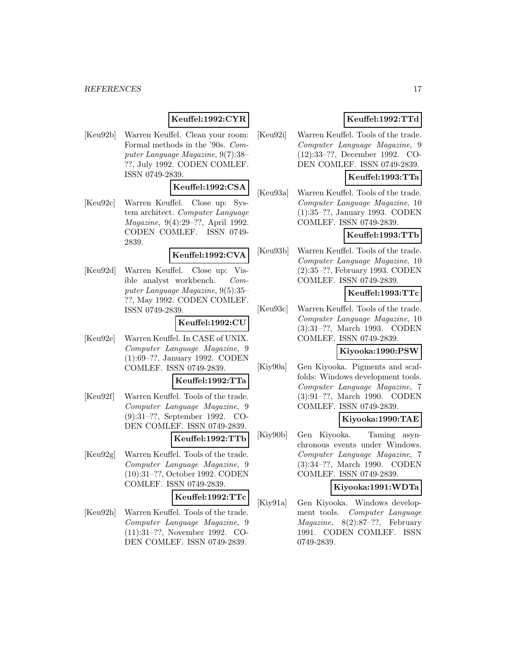# **Keuffel:1992:CYR**

[Keu92b] Warren Keuffel. Clean your room: Formal methods in the '90s. Computer Language Magazine, 9(7):38– ??, July 1992. CODEN COMLEF. ISSN 0749-2839.

# **Keuffel:1992:CSA**

[Keu92c] Warren Keuffel. Close up: System architect. Computer Language Magazine, 9(4):29–??, April 1992. CODEN COMLEF. ISSN 0749- 2839.

# **Keuffel:1992:CVA**

[Keu92d] Warren Keuffel. Close up: Visible analyst workbench. Computer Language Magazine, 9(5):35– ??, May 1992. CODEN COMLEF. ISSN 0749-2839.

# **Keuffel:1992:CU**

[Keu92e] Warren Keuffel. In CASE of UNIX. Computer Language Magazine, 9 (1):69–??, January 1992. CODEN COMLEF. ISSN 0749-2839.

#### **Keuffel:1992:TTa**

[Keu92f] Warren Keuffel. Tools of the trade. Computer Language Magazine, 9 (9):31–??, September 1992. CO-DEN COMLEF. ISSN 0749-2839.

#### **Keuffel:1992:TTb**

[Keu92g] Warren Keuffel. Tools of the trade. Computer Language Magazine, 9 (10):31–??, October 1992. CODEN COMLEF. ISSN 0749-2839.

#### **Keuffel:1992:TTc**

[Keu92h] Warren Keuffel. Tools of the trade. Computer Language Magazine, 9 (11):31–??, November 1992. CO-DEN COMLEF. ISSN 0749-2839.

# **Keuffel:1992:TTd**

[Keu92i] Warren Keuffel. Tools of the trade. Computer Language Magazine, 9 (12):33–??, December 1992. CO-DEN COMLEF. ISSN 0749-2839.

# **Keuffel:1993:TTa**

[Keu93a] Warren Keuffel. Tools of the trade. Computer Language Magazine, 10 (1):35–??, January 1993. CODEN COMLEF. ISSN 0749-2839.

# **Keuffel:1993:TTb**

[Keu93b] Warren Keuffel. Tools of the trade. Computer Language Magazine, 10 (2):35–??, February 1993. CODEN COMLEF. ISSN 0749-2839.

# **Keuffel:1993:TTc**

[Keu93c] Warren Keuffel. Tools of the trade. Computer Language Magazine, 10 (3):31–??, March 1993. CODEN COMLEF. ISSN 0749-2839.

# **Kiyooka:1990:PSW**

[Kiy90a] Gen Kiyooka. Pigments and scaffolds: Windows development tools. Computer Language Magazine, 7 (3):91–??, March 1990. CODEN COMLEF. ISSN 0749-2839.

# **Kiyooka:1990:TAE**

[Kiy90b] Gen Kiyooka. Taming asynchronous events under Windows. Computer Language Magazine, 7 (3):34–??, March 1990. CODEN COMLEF. ISSN 0749-2839.

# **Kiyooka:1991:WDTa**

[Kiy91a] Gen Kiyooka. Windows development tools. Computer Language Magazine, 8(2):87–??, February 1991. CODEN COMLEF. ISSN 0749-2839.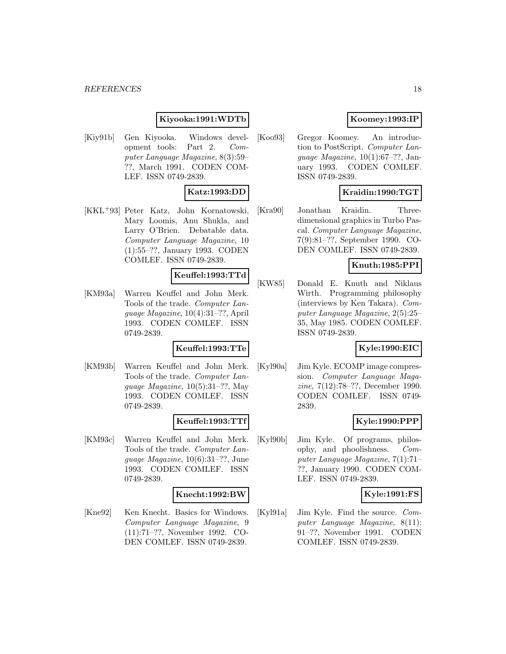# **Kiyooka:1991:WDTb**

[Kiy91b] Gen Kiyooka. Windows development tools: Part 2. Computer Language Magazine, 8(3):59– ??, March 1991. CODEN COM-LEF. ISSN 0749-2839.

# **Katz:1993:DD**

[KKL<sup>+</sup>93] Peter Katz, John Kornatowski, Mary Loomis, Anu Shukla, and Larry O'Brien. Debatable data. Computer Language Magazine, 10 (1):55–??, January 1993. CODEN COMLEF. ISSN 0749-2839.

#### **Keuffel:1993:TTd**

[KM93a] Warren Keuffel and John Merk. Tools of the trade. Computer Language Magazine, 10(4):31–??, April 1993. CODEN COMLEF. ISSN 0749-2839.

# **Keuffel:1993:TTe**

[KM93b] Warren Keuffel and John Merk. Tools of the trade. Computer Language Magazine, 10(5):31–??, May 1993. CODEN COMLEF. ISSN 0749-2839.

# **Keuffel:1993:TTf**

[KM93c] Warren Keuffel and John Merk. Tools of the trade. Computer Language Magazine, 10(6):31–??, June 1993. CODEN COMLEF. ISSN 0749-2839.

# **Knecht:1992:BW**

[Kne92] Ken Knecht. Basics for Windows. Computer Language Magazine, 9 (11):71–??, November 1992. CO-DEN COMLEF. ISSN 0749-2839.

# **Koomey:1993:IP**

[Koo93] Gregor Koomey. An introduction to PostScript. Computer Lanquage Magazine,  $10(1):67-??$ , January 1993. CODEN COMLEF. ISSN 0749-2839.

# **Kraidin:1990:TGT**

[Kra90] Jonathan Kraidin. Threedimensional graphics in Turbo Pascal. Computer Language Magazine, 7(9):81–??, September 1990. CO-DEN COMLEF. ISSN 0749-2839.

# **Knuth:1985:PPI**

[KW85] Donald E. Knuth and Niklaus Wirth. Programming philosophy (interviews by Ken Takara). Computer Language Magazine, 2(5):25– 35, May 1985. CODEN COMLEF. ISSN 0749-2839.

# **Kyle:1990:EIC**

[Kyl90a] Jim Kyle. ECOMP image compression. Computer Language Magazine, 7(12):78–??, December 1990. CODEN COMLEF. ISSN 0749- 2839.

# **Kyle:1990:PPP**

[Kyl90b] Jim Kyle. Of programs, philosophy, and phoolishness. Computer Language Magazine, 7(1):71– ??, January 1990. CODEN COM-LEF. ISSN 0749-2839.

### **Kyle:1991:FS**

[Kyl91a] Jim Kyle. Find the source. Computer Language Magazine, 8(11): 91–??, November 1991. CODEN COMLEF. ISSN 0749-2839.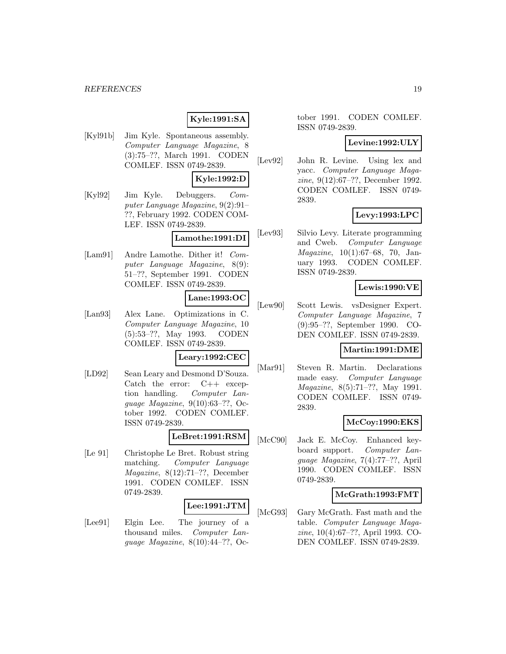# **Kyle:1991:SA**

[Kyl91b] Jim Kyle. Spontaneous assembly. Computer Language Magazine, 8 (3):75–??, March 1991. CODEN COMLEF. ISSN 0749-2839.

# **Kyle:1992:D**

[Kyl92] Jim Kyle. Debuggers. Computer Language Magazine, 9(2):91– ??, February 1992. CODEN COM-LEF. ISSN 0749-2839.

# **Lamothe:1991:DI**

[Lam91] Andre Lamothe. Dither it! Computer Language Magazine, 8(9): 51–??, September 1991. CODEN COMLEF. ISSN 0749-2839.

# **Lane:1993:OC**

[Lan93] Alex Lane. Optimizations in C. Computer Language Magazine, 10 (5):53–??, May 1993. CODEN COMLEF. ISSN 0749-2839.

#### **Leary:1992:CEC**

[LD92] Sean Leary and Desmond D'Souza. Catch the error: C++ exception handling. Computer Language Magazine, 9(10):63–??, October 1992. CODEN COMLEF. ISSN 0749-2839.

#### **LeBret:1991:RSM**

[Le 91] Christophe Le Bret. Robust string matching. Computer Language Magazine, 8(12):71–??, December 1991. CODEN COMLEF. ISSN 0749-2839.

# **Lee:1991:JTM**

[Lee91] Elgin Lee. The journey of a thousand miles. Computer Language Magazine, 8(10):44–??, October 1991. CODEN COMLEF. ISSN 0749-2839.

#### **Levine:1992:ULY**

[Lev92] John R. Levine. Using lex and yacc. Computer Language Magazine, 9(12):67–??, December 1992. CODEN COMLEF. ISSN 0749- 2839.

# **Levy:1993:LPC**

[Lev93] Silvio Levy. Literate programming and Cweb. Computer Language Magazine, 10(1):67–68, 70, January 1993. CODEN COMLEF. ISSN 0749-2839.

# **Lewis:1990:VE**

[Lew90] Scott Lewis. vsDesigner Expert. Computer Language Magazine, 7 (9):95–??, September 1990. CO-DEN COMLEF. ISSN 0749-2839.

# **Martin:1991:DME**

[Mar91] Steven R. Martin. Declarations made easy. Computer Language Magazine, 8(5):71–??, May 1991. CODEN COMLEF. ISSN 0749- 2839.

# **McCoy:1990:EKS**

[McC90] Jack E. McCoy. Enhanced keyboard support. Computer Language Magazine, 7(4):77–??, April 1990. CODEN COMLEF. ISSN 0749-2839.

# **McGrath:1993:FMT**

[McG93] Gary McGrath. Fast math and the table. Computer Language Magazine, 10(4):67–??, April 1993. CO-DEN COMLEF. ISSN 0749-2839.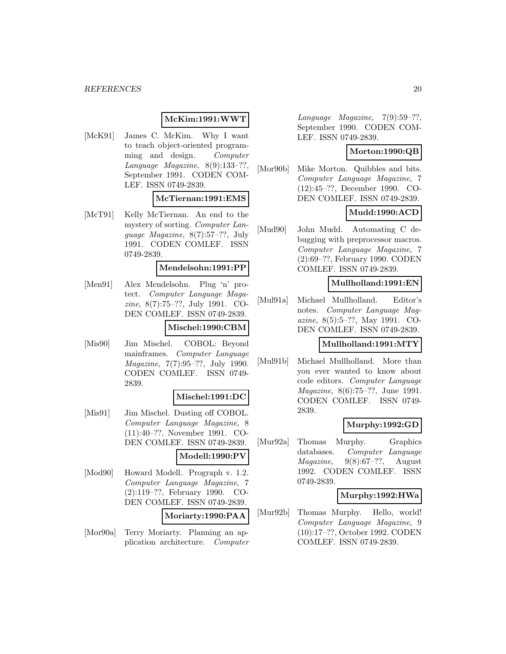# **McKim:1991:WWT**

[McK91] James C. McKim. Why I want to teach object-oriented programming and design. Computer Language Magazine, 8(9):133–??, September 1991. CODEN COM-LEF. ISSN 0749-2839.

# **McTiernan:1991:EMS**

[McT91] Kelly McTiernan. An end to the mystery of sorting. Computer Language Magazine, 8(7):57–??, July 1991. CODEN COMLEF. ISSN 0749-2839.

#### **Mendelsohn:1991:PP**

[Men91] Alex Mendelsohn. Plug 'n' protect. Computer Language Magazine, 8(7):75–??, July 1991. CO-DEN COMLEF. ISSN 0749-2839.

# **Mischel:1990:CBM**

[Mis90] Jim Mischel. COBOL: Beyond mainframes. Computer Language Magazine, 7(7):95–??, July 1990. CODEN COMLEF. ISSN 0749- 2839.

#### **Mischel:1991:DC**

[Mis91] Jim Mischel. Dusting off COBOL. Computer Language Magazine, 8 (11):40–??, November 1991. CO-DEN COMLEF. ISSN 0749-2839.

# **Modell:1990:PV**

[Mod90] Howard Modell. Prograph v. 1.2. Computer Language Magazine, 7 (2):119–??, February 1990. CO-DEN COMLEF. ISSN 0749-2839.

# **Moriarty:1990:PAA**

[Mor90a] Terry Moriarty. Planning an application architecture. Computer Language Magazine, 7(9):59–??, September 1990. CODEN COM-LEF. ISSN 0749-2839.

# **Morton:1990:QB**

[Mor90b] Mike Morton. Quibbles and bits. Computer Language Magazine, 7 (12):45–??, December 1990. CO-DEN COMLEF. ISSN 0749-2839.

# **Mudd:1990:ACD**

[Mud90] John Mudd. Automating C debugging with preprocessor macros. Computer Language Magazine, 7 (2):69–??, February 1990. CODEN COMLEF. ISSN 0749-2839.

### **Mullholland:1991:EN**

[Mul91a] Michael Mullholland. Editor's notes. Computer Language Magazine, 8(5):5–??, May 1991. CO-DEN COMLEF. ISSN 0749-2839.

# **Mullholland:1991:MTY**

[Mul91b] Michael Mullholland. More than you ever wanted to know about code editors. Computer Language Magazine, 8(6):75–??, June 1991. CODEN COMLEF. ISSN 0749- 2839.

# **Murphy:1992:GD**

[Mur92a] Thomas Murphy. Graphics databases. Computer Language  $Magazine, \quad 9(8):67-??, \quad August$ 1992. CODEN COMLEF. ISSN 0749-2839.

# **Murphy:1992:HWa**

[Mur92b] Thomas Murphy. Hello, world! Computer Language Magazine, 9 (10):17–??, October 1992. CODEN COMLEF. ISSN 0749-2839.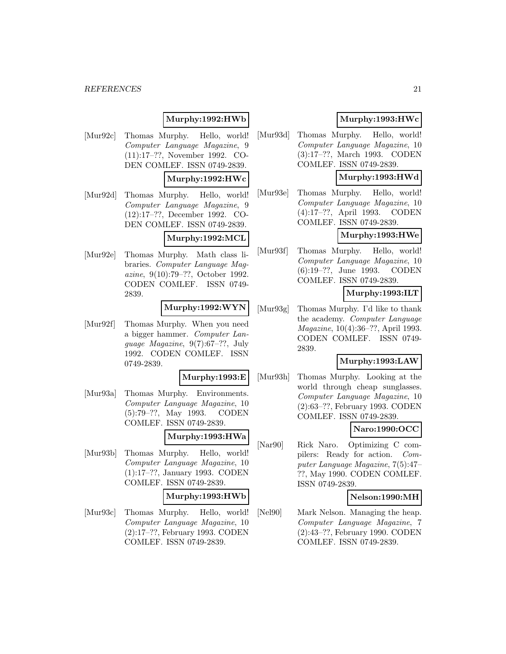# **Murphy:1992:HWb**

[Mur92c] Thomas Murphy. Hello, world! Computer Language Magazine, 9 (11):17–??, November 1992. CO-DEN COMLEF. ISSN 0749-2839.

# **Murphy:1992:HWc**

[Mur92d] Thomas Murphy. Hello, world! Computer Language Magazine, 9 (12):17–??, December 1992. CO-DEN COMLEF. ISSN 0749-2839.

### **Murphy:1992:MCL**

[Mur92e] Thomas Murphy. Math class libraries. Computer Language Magazine, 9(10):79–??, October 1992. CODEN COMLEF. ISSN 0749- 2839.

#### **Murphy:1992:WYN**

[Mur92f] Thomas Murphy. When you need a bigger hammer. Computer Language Magazine, 9(7):67–??, July 1992. CODEN COMLEF. ISSN 0749-2839.

#### **Murphy:1993:E**

[Mur93a] Thomas Murphy. Environments. Computer Language Magazine, 10 (5):79–??, May 1993. CODEN COMLEF. ISSN 0749-2839.

#### **Murphy:1993:HWa**

[Mur93b] Thomas Murphy. Hello, world! Computer Language Magazine, 10 (1):17–??, January 1993. CODEN COMLEF. ISSN 0749-2839.

#### **Murphy:1993:HWb**

[Mur93c] Thomas Murphy. Hello, world! Computer Language Magazine, 10 (2):17–??, February 1993. CODEN COMLEF. ISSN 0749-2839.

# **Murphy:1993:HWc**

[Mur93d] Thomas Murphy. Hello, world! Computer Language Magazine, 10 (3):17–??, March 1993. CODEN COMLEF. ISSN 0749-2839.

# **Murphy:1993:HWd**

[Mur93e] Thomas Murphy. Hello, world! Computer Language Magazine, 10 (4):17–??, April 1993. CODEN COMLEF. ISSN 0749-2839.

# **Murphy:1993:HWe**

[Mur93f] Thomas Murphy. Hello, world! Computer Language Magazine, 10 (6):19–??, June 1993. CODEN COMLEF. ISSN 0749-2839.

# **Murphy:1993:ILT**

[Mur93g] Thomas Murphy. I'd like to thank the academy. Computer Language Magazine, 10(4):36–??, April 1993. CODEN COMLEF. ISSN 0749- 2839.

# **Murphy:1993:LAW**

[Mur93h] Thomas Murphy. Looking at the world through cheap sunglasses. Computer Language Magazine, 10 (2):63–??, February 1993. CODEN COMLEF. ISSN 0749-2839.

# **Naro:1990:OCC**

[Nar90] Rick Naro. Optimizing C compilers: Ready for action. Computer Language Magazine, 7(5):47– ??, May 1990. CODEN COMLEF. ISSN 0749-2839.

#### **Nelson:1990:MH**

[Nel90] Mark Nelson. Managing the heap. Computer Language Magazine, 7 (2):43–??, February 1990. CODEN COMLEF. ISSN 0749-2839.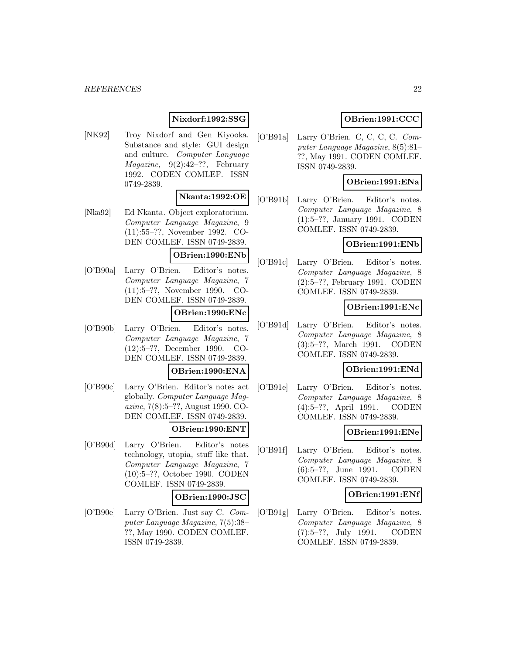# **Nixdorf:1992:SSG**

[NK92] Troy Nixdorf and Gen Kiyooka. Substance and style: GUI design and culture. Computer Language  $Magazine, 9(2):42-??, February$ 1992. CODEN COMLEF. ISSN 0749-2839.

# **Nkanta:1992:OE**

[Nka92] Ed Nkanta. Object exploratorium. Computer Language Magazine, 9 (11):55–??, November 1992. CO-DEN COMLEF. ISSN 0749-2839.

#### **OBrien:1990:ENb**

[O'B90a] Larry O'Brien. Editor's notes. Computer Language Magazine, 7 (11):5–??, November 1990. CO-DEN COMLEF. ISSN 0749-2839.

# **OBrien:1990:ENc**

[O'B90b] Larry O'Brien. Editor's notes. Computer Language Magazine, 7 (12):5–??, December 1990. CO-DEN COMLEF. ISSN 0749-2839.

# **OBrien:1990:ENA**

[O'B90c] Larry O'Brien. Editor's notes act globally. Computer Language Magazine, 7(8):5–??, August 1990. CO-DEN COMLEF. ISSN 0749-2839.

# **OBrien:1990:ENT**

[O'B90d] Larry O'Brien. Editor's notes technology, utopia, stuff like that. Computer Language Magazine, 7 (10):5–??, October 1990. CODEN COMLEF. ISSN 0749-2839.

#### **OBrien:1990:JSC**

[O'B90e] Larry O'Brien. Just say C. Computer Language Magazine, 7(5):38– ??, May 1990. CODEN COMLEF. ISSN 0749-2839.

# **OBrien:1991:CCC**

[O'B91a] Larry O'Brien. C, C, C, C. Computer Language Magazine, 8(5):81– ??, May 1991. CODEN COMLEF. ISSN 0749-2839.

# **OBrien:1991:ENa**

[O'B91b] Larry O'Brien. Editor's notes. Computer Language Magazine, 8 (1):5–??, January 1991. CODEN COMLEF. ISSN 0749-2839.

# **OBrien:1991:ENb**

[O'B91c] Larry O'Brien. Editor's notes. Computer Language Magazine, 8 (2):5–??, February 1991. CODEN COMLEF. ISSN 0749-2839.

# **OBrien:1991:ENc**

[O'B91d] Larry O'Brien. Editor's notes. Computer Language Magazine, 8 (3):5–??, March 1991. CODEN COMLEF. ISSN 0749-2839.

# **OBrien:1991:ENd**

[O'B91e] Larry O'Brien. Editor's notes. Computer Language Magazine, 8 (4):5–??, April 1991. CODEN COMLEF. ISSN 0749-2839.

# **OBrien:1991:ENe**

[O'B91f] Larry O'Brien. Editor's notes. Computer Language Magazine, 8 (6):5–??, June 1991. CODEN COMLEF. ISSN 0749-2839.

# **OBrien:1991:ENf**

[O'B91g] Larry O'Brien. Editor's notes. Computer Language Magazine, 8 (7):5–??, July 1991. CODEN COMLEF. ISSN 0749-2839.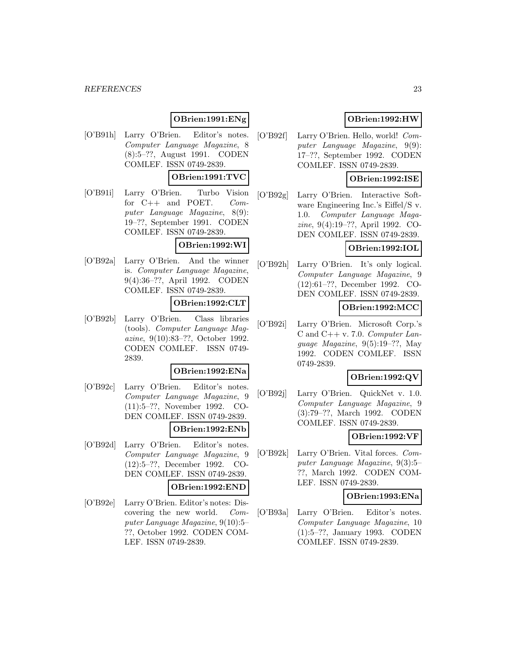# **OBrien:1991:ENg**

[O'B91h] Larry O'Brien. Editor's notes. Computer Language Magazine, 8 (8):5–??, August 1991. CODEN COMLEF. ISSN 0749-2839.

# **OBrien:1991:TVC**

[O'B91i] Larry O'Brien. Turbo Vision for C++ and POET. Computer Language Magazine, 8(9): 19–??, September 1991. CODEN COMLEF. ISSN 0749-2839.

#### **OBrien:1992:WI**

[O'B92a] Larry O'Brien. And the winner is. Computer Language Magazine, 9(4):36–??, April 1992. CODEN COMLEF. ISSN 0749-2839.

#### **OBrien:1992:CLT**

[O'B92b] Larry O'Brien. Class libraries (tools). Computer Language Magazine, 9(10):83–??, October 1992. CODEN COMLEF. ISSN 0749- 2839.

#### **OBrien:1992:ENa**

[O'B92c] Larry O'Brien. Editor's notes. Computer Language Magazine, 9 (11):5–??, November 1992. CO-DEN COMLEF. ISSN 0749-2839.

# **OBrien:1992:ENb**

[O'B92d] Larry O'Brien. Editor's notes. Computer Language Magazine, 9 (12):5–??, December 1992. CO-DEN COMLEF. ISSN 0749-2839.

#### **OBrien:1992:END**

[O'B92e] Larry O'Brien. Editor's notes: Discovering the new world. Computer Language Magazine, 9(10):5– ??, October 1992. CODEN COM-LEF. ISSN 0749-2839.

# **OBrien:1992:HW**

[O'B92f] Larry O'Brien. Hello, world! Computer Language Magazine, 9(9): 17–??, September 1992. CODEN COMLEF. ISSN 0749-2839.

# **OBrien:1992:ISE**

[O'B92g] Larry O'Brien. Interactive Software Engineering Inc.'s Eiffel/S v. 1.0. Computer Language Magazine, 9(4):19–??, April 1992. CO-DEN COMLEF. ISSN 0749-2839.

# **OBrien:1992:IOL**

[O'B92h] Larry O'Brien. It's only logical. Computer Language Magazine, 9 (12):61–??, December 1992. CO-DEN COMLEF. ISSN 0749-2839.

# **OBrien:1992:MCC**

[O'B92i] Larry O'Brien. Microsoft Corp.'s C and C++ v. 7.0. Computer Language Magazine, 9(5):19–??, May 1992. CODEN COMLEF. ISSN 0749-2839.

# **OBrien:1992:QV**

[O'B92j] Larry O'Brien. QuickNet v. 1.0. Computer Language Magazine, 9 (3):79–??, March 1992. CODEN COMLEF. ISSN 0749-2839.

# **OBrien:1992:VF**

[O'B92k] Larry O'Brien. Vital forces. Computer Language Magazine, 9(3):5– ??, March 1992. CODEN COM-LEF. ISSN 0749-2839.

#### **OBrien:1993:ENa**

[O'B93a] Larry O'Brien. Editor's notes. Computer Language Magazine, 10 (1):5–??, January 1993. CODEN COMLEF. ISSN 0749-2839.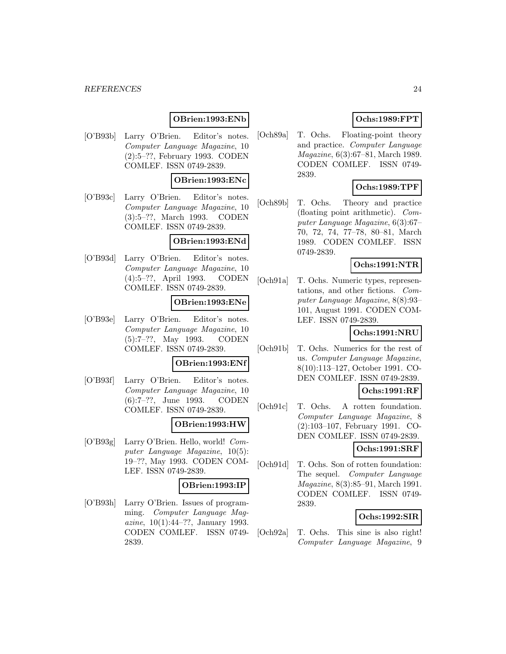# **OBrien:1993:ENb**

[O'B93b] Larry O'Brien. Editor's notes. Computer Language Magazine, 10 (2):5–??, February 1993. CODEN COMLEF. ISSN 0749-2839.

#### **OBrien:1993:ENc**

[O'B93c] Larry O'Brien. Editor's notes. Computer Language Magazine, 10 (3):5–??, March 1993. CODEN COMLEF. ISSN 0749-2839.

# **OBrien:1993:ENd**

[O'B93d] Larry O'Brien. Editor's notes. Computer Language Magazine, 10 (4):5–??, April 1993. CODEN COMLEF. ISSN 0749-2839.

# **OBrien:1993:ENe**

[O'B93e] Larry O'Brien. Editor's notes. Computer Language Magazine, 10 (5):7–??, May 1993. CODEN COMLEF. ISSN 0749-2839.

#### **OBrien:1993:ENf**

[O'B93f] Larry O'Brien. Editor's notes. Computer Language Magazine, 10 (6):7–??, June 1993. CODEN COMLEF. ISSN 0749-2839.

# **OBrien:1993:HW**

[O'B93g] Larry O'Brien. Hello, world! Computer Language Magazine, 10(5): 19–??, May 1993. CODEN COM-LEF. ISSN 0749-2839.

# **OBrien:1993:IP**

[O'B93h] Larry O'Brien. Issues of programming. Computer Language Magazine, 10(1):44–??, January 1993. CODEN COMLEF. ISSN 0749- 2839.

# **Ochs:1989:FPT**

[Och89a] T. Ochs. Floating-point theory and practice. Computer Language Magazine, 6(3):67–81, March 1989. CODEN COMLEF. ISSN 0749- 2839.

# **Ochs:1989:TPF**

[Och89b] T. Ochs. Theory and practice (floating point arithmetic). Computer Language Magazine, 6(3):67– 70, 72, 74, 77–78, 80–81, March 1989. CODEN COMLEF. ISSN 0749-2839.

# **Ochs:1991:NTR**

[Och91a] T. Ochs. Numeric types, representations, and other fictions. Computer Language Magazine, 8(8):93– 101, August 1991. CODEN COM-LEF. ISSN 0749-2839.

# **Ochs:1991:NRU**

- [Och91b] T. Ochs. Numerics for the rest of us. Computer Language Magazine, 8(10):113–127, October 1991. CO-DEN COMLEF. ISSN 0749-2839. **Ochs:1991:RF**
- [Och91c] T. Ochs. A rotten foundation. Computer Language Magazine, 8 (2):103–107, February 1991. CO-DEN COMLEF. ISSN 0749-2839.

# **Ochs:1991:SRF**

[Och91d] T. Ochs. Son of rotten foundation: The sequel. Computer Language Magazine, 8(3):85–91, March 1991. CODEN COMLEF. ISSN 0749- 2839.

# **Ochs:1992:SIR**

[Och92a] T. Ochs. This sine is also right! Computer Language Magazine, 9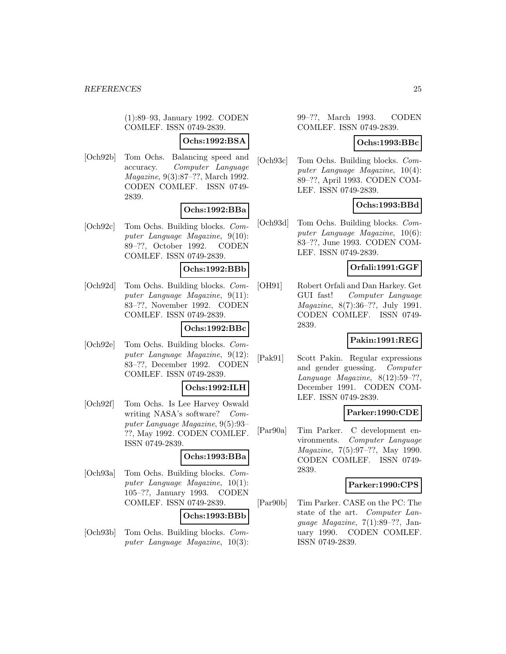(1):89–93, January 1992. CODEN COMLEF. ISSN 0749-2839.

# **Ochs:1992:BSA**

[Och92b] Tom Ochs. Balancing speed and accuracy. Computer Language Magazine, 9(3):87–??, March 1992. CODEN COMLEF. ISSN 0749- 2839.

# **Ochs:1992:BBa**

[Och92c] Tom Ochs. Building blocks. Computer Language Magazine, 9(10): 89–??, October 1992. CODEN COMLEF. ISSN 0749-2839.

# **Ochs:1992:BBb**

[Och92d] Tom Ochs. Building blocks. Computer Language Magazine, 9(11): 83–??, November 1992. CODEN COMLEF. ISSN 0749-2839.

# **Ochs:1992:BBc**

[Och92e] Tom Ochs. Building blocks. Computer Language Magazine, 9(12): 83–??, December 1992. CODEN COMLEF. ISSN 0749-2839.

#### **Ochs:1992:ILH**

[Och92f] Tom Ochs. Is Lee Harvey Oswald writing NASA's software? Computer Language Magazine, 9(5):93– ??, May 1992. CODEN COMLEF. ISSN 0749-2839.

# **Ochs:1993:BBa**

[Och93a] Tom Ochs. Building blocks. Computer Language Magazine, 10(1): 105–??, January 1993. CODEN COMLEF. ISSN 0749-2839.

#### **Ochs:1993:BBb**

[Och93b] Tom Ochs. Building blocks. Computer Language Magazine, 10(3): 99–??, March 1993. CODEN COMLEF. ISSN 0749-2839.

# **Ochs:1993:BBc**

[Och93c] Tom Ochs. Building blocks. Computer Language Magazine, 10(4): 89–??, April 1993. CODEN COM-LEF. ISSN 0749-2839.

# **Ochs:1993:BBd**

[Och93d] Tom Ochs. Building blocks. Computer Language Magazine, 10(6): 83–??, June 1993. CODEN COM-LEF. ISSN 0749-2839.

# **Orfali:1991:GGF**

[OH91] Robert Orfali and Dan Harkey. Get GUI fast! Computer Language Magazine, 8(7):36–??, July 1991. CODEN COMLEF. ISSN 0749- 2839.

# **Pakin:1991:REG**

[Pak91] Scott Pakin. Regular expressions and gender guessing. Computer Language Magazine, 8(12):59–??, December 1991. CODEN COM-LEF. ISSN 0749-2839.

# **Parker:1990:CDE**

[Par90a] Tim Parker. C development environments. Computer Language Magazine, 7(5):97–??, May 1990. CODEN COMLEF. ISSN 0749- 2839.

# **Parker:1990:CPS**

[Par90b] Tim Parker. CASE on the PC: The state of the art. Computer Language Magazine, 7(1):89–??, January 1990. CODEN COMLEF. ISSN 0749-2839.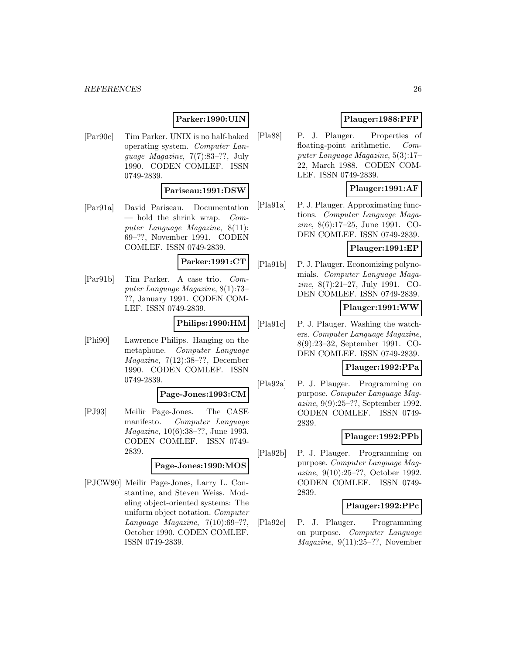# **Parker:1990:UIN**

[Par90c] Tim Parker. UNIX is no half-baked operating system. Computer Language Magazine, 7(7):83–??, July 1990. CODEN COMLEF. ISSN 0749-2839.

# **Pariseau:1991:DSW**

[Par91a] David Pariseau. Documentation — hold the shrink wrap.  $Com$ puter Language Magazine, 8(11): 69–??, November 1991. CODEN COMLEF. ISSN 0749-2839.

# **Parker:1991:CT**

[Par91b] Tim Parker. A case trio. Computer Language Magazine, 8(1):73– ??, January 1991. CODEN COM-LEF. ISSN 0749-2839.

# **Philips:1990:HM**

[Phi90] Lawrence Philips. Hanging on the metaphone. Computer Language Magazine, 7(12):38–??, December 1990. CODEN COMLEF. ISSN 0749-2839.

#### **Page-Jones:1993:CM**

[PJ93] Meilir Page-Jones. The CASE manifesto. Computer Language Magazine, 10(6):38–??, June 1993. CODEN COMLEF. ISSN 0749- 2839.

# **Page-Jones:1990:MOS**

[PJCW90] Meilir Page-Jones, Larry L. Constantine, and Steven Weiss. Modeling object-oriented systems: The uniform object notation. Computer Language Magazine,  $7(10):69-??$ , October 1990. CODEN COMLEF. ISSN 0749-2839.

# **Plauger:1988:PFP**

[Pla88] P. J. Plauger. Properties of floating-point arithmetic. Computer Language Magazine, 5(3):17– 22, March 1988. CODEN COM-LEF. ISSN 0749-2839.

# **Plauger:1991:AF**

[Pla91a] P. J. Plauger. Approximating functions. Computer Language Magazine, 8(6):17–25, June 1991. CO-DEN COMLEF. ISSN 0749-2839.

# **Plauger:1991:EP**

[Pla91b] P. J. Plauger. Economizing polynomials. Computer Language Magazine, 8(7):21–27, July 1991. CO-DEN COMLEF. ISSN 0749-2839.

# **Plauger:1991:WW**

[Pla91c] P. J. Plauger. Washing the watchers. Computer Language Magazine, 8(9):23–32, September 1991. CO-DEN COMLEF. ISSN 0749-2839.

# **Plauger:1992:PPa**

[Pla92a] P. J. Plauger. Programming on purpose. Computer Language Magazine, 9(9):25–??, September 1992. CODEN COMLEF. ISSN 0749- 2839.

# **Plauger:1992:PPb**

[Pla92b] P. J. Plauger. Programming on purpose. Computer Language Magazine, 9(10):25–??, October 1992. CODEN COMLEF. ISSN 0749- 2839.

# **Plauger:1992:PPc**

[Pla92c] P. J. Plauger. Programming on purpose. Computer Language Magazine, 9(11):25–??, November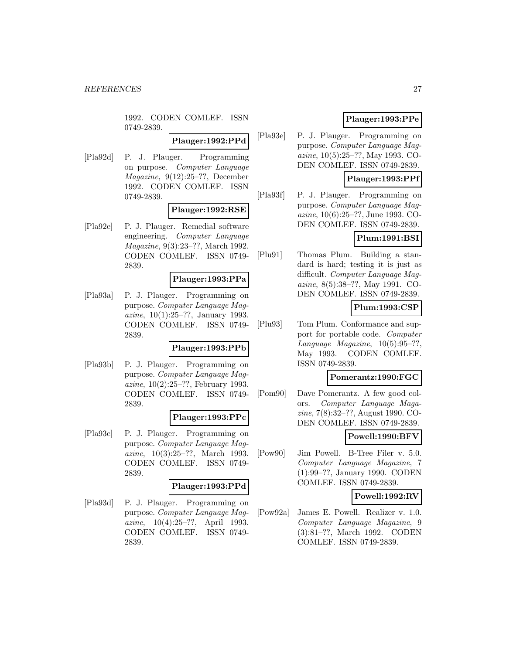1992. CODEN COMLEF. ISSN 0749-2839.

# **Plauger:1992:PPd**

[Pla92d] P. J. Plauger. Programming on purpose. Computer Language Magazine, 9(12):25–??, December 1992. CODEN COMLEF. ISSN 0749-2839.

# **Plauger:1992:RSE**

[Pla92e] P. J. Plauger. Remedial software engineering. Computer Language Magazine, 9(3):23–??, March 1992. CODEN COMLEF. ISSN 0749- 2839.

#### **Plauger:1993:PPa**

[Pla93a] P. J. Plauger. Programming on purpose. Computer Language Magazine, 10(1):25–??, January 1993. CODEN COMLEF. ISSN 0749- 2839.

# **Plauger:1993:PPb**

[Pla93b] P. J. Plauger. Programming on purpose. Computer Language Magazine, 10(2):25–??, February 1993. CODEN COMLEF. ISSN 0749- 2839.

#### **Plauger:1993:PPc**

[Pla93c] P. J. Plauger. Programming on purpose. Computer Language Magazine, 10(3):25–??, March 1993. CODEN COMLEF. ISSN 0749- 2839.

# **Plauger:1993:PPd**

[Pla93d] P. J. Plauger. Programming on purpose. Computer Language Magazine, 10(4):25–??, April 1993. CODEN COMLEF. ISSN 0749- 2839.

# **Plauger:1993:PPe**

[Pla93e] P. J. Plauger. Programming on purpose. Computer Language Magazine, 10(5):25–??, May 1993. CO-DEN COMLEF. ISSN 0749-2839.

# **Plauger:1993:PPf**

[Pla93f] P. J. Plauger. Programming on purpose. Computer Language Magazine, 10(6):25–??, June 1993. CO-DEN COMLEF. ISSN 0749-2839.

# **Plum:1991:BSI**

[Plu91] Thomas Plum. Building a standard is hard; testing it is just as difficult. Computer Language Magazine, 8(5):38–??, May 1991. CO-DEN COMLEF. ISSN 0749-2839.

# **Plum:1993:CSP**

[Plu93] Tom Plum. Conformance and support for portable code. Computer Language Magazine,  $10(5):95-??.$ May 1993. CODEN COMLEF. ISSN 0749-2839.

# **Pomerantz:1990:FGC**

[Pom90] Dave Pomerantz. A few good colors. Computer Language Magazine, 7(8):32–??, August 1990. CO-DEN COMLEF. ISSN 0749-2839.

# **Powell:1990:BFV**

[Pow90] Jim Powell. B-Tree Filer v. 5.0. Computer Language Magazine, 7 (1):99–??, January 1990. CODEN COMLEF. ISSN 0749-2839.

# **Powell:1992:RV**

[Pow92a] James E. Powell. Realizer v. 1.0. Computer Language Magazine, 9 (3):81–??, March 1992. CODEN COMLEF. ISSN 0749-2839.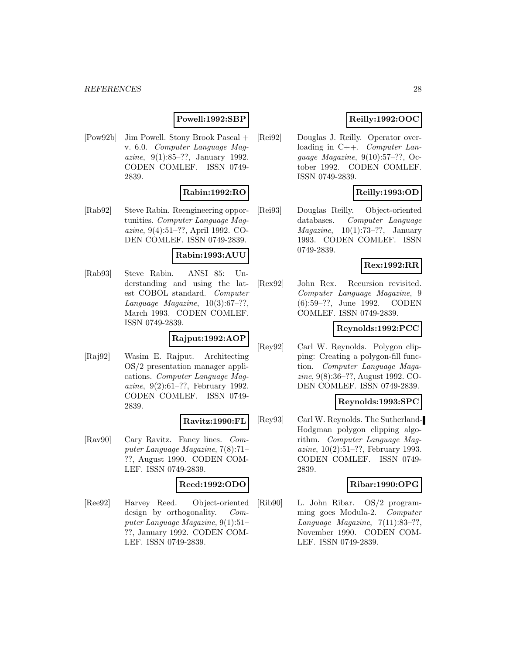# **Powell:1992:SBP**

[Pow92b] Jim Powell. Stony Brook Pascal + v. 6.0. Computer Language Magazine, 9(1):85–??, January 1992. CODEN COMLEF. ISSN 0749- 2839.

# **Rabin:1992:RO**

[Rab92] Steve Rabin. Reengineering opportunities. Computer Language Magazine, 9(4):51–??, April 1992. CO-DEN COMLEF. ISSN 0749-2839.

#### **Rabin:1993:AUU**

[Rab93] Steve Rabin. ANSI 85: Understanding and using the latest COBOL standard. Computer Language Magazine,  $10(3):67-??$ , March 1993. CODEN COMLEF. ISSN 0749-2839.

#### **Rajput:1992:AOP**

[Raj92] Wasim E. Rajput. Architecting OS/2 presentation manager applications. Computer Language Magazine, 9(2):61–??, February 1992. CODEN COMLEF. ISSN 0749- 2839.

# **Ravitz:1990:FL**

[Rav90] Cary Ravitz. Fancy lines. Computer Language Magazine, 7(8):71– ??, August 1990. CODEN COM-LEF. ISSN 0749-2839.

# **Reed:1992:ODO**

[Ree92] Harvey Reed. Object-oriented design by orthogonality. Computer Language Magazine, 9(1):51– ??, January 1992. CODEN COM-LEF. ISSN 0749-2839.

# **Reilly:1992:OOC**

[Rei92] Douglas J. Reilly. Operator overloading in C++. Computer Language Magazine, 9(10):57–??, October 1992. CODEN COMLEF. ISSN 0749-2839.

# **Reilly:1993:OD**

[Rei93] Douglas Reilly. Object-oriented databases. Computer Language  $Magazine, 10(1):73-??, January$ 1993. CODEN COMLEF. ISSN 0749-2839.

# **Rex:1992:RR**

[Rex92] John Rex. Recursion revisited. Computer Language Magazine, 9 (6):59–??, June 1992. CODEN COMLEF. ISSN 0749-2839.

# **Reynolds:1992:PCC**

[Rey92] Carl W. Reynolds. Polygon clipping: Creating a polygon-fill function. Computer Language Magazine, 9(8):36–??, August 1992. CO-DEN COMLEF. ISSN 0749-2839.

# **Reynolds:1993:SPC**

[Rey93] Carl W. Reynolds. The Sutherland-Hodgman polygon clipping algorithm. Computer Language Magazine, 10(2):51–??, February 1993. CODEN COMLEF. ISSN 0749- 2839.

# **Ribar:1990:OPG**

[Rib90] L. John Ribar. OS/2 programming goes Modula-2. Computer Language Magazine, 7(11):83–??, November 1990. CODEN COM-LEF. ISSN 0749-2839.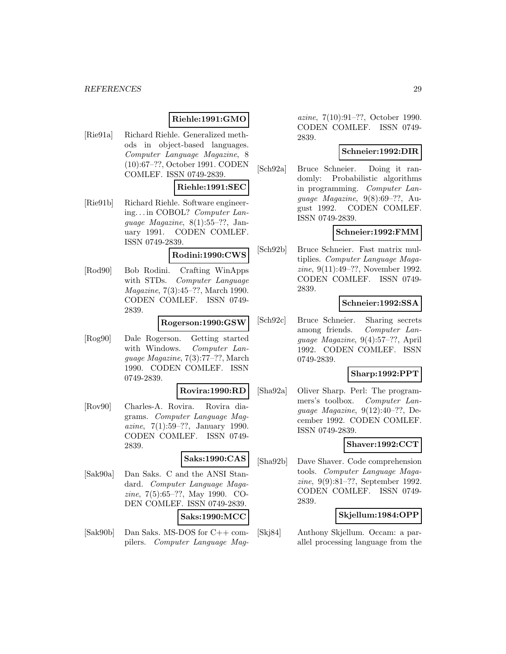# **Riehle:1991:GMO**

[Rie91a] Richard Riehle. Generalized methods in object-based languages. Computer Language Magazine, 8 (10):67–??, October 1991. CODEN COMLEF. ISSN 0749-2839.

# **Riehle:1991:SEC**

[Rie91b] Richard Riehle. Software engineering. . . in COBOL? Computer Language Magazine, 8(1):55–??, January 1991. CODEN COMLEF. ISSN 0749-2839.

#### **Rodini:1990:CWS**

[Rod90] Bob Rodini. Crafting WinApps with STDs. Computer Language Magazine, 7(3):45–??, March 1990. CODEN COMLEF. ISSN 0749- 2839.

#### **Rogerson:1990:GSW**

[Rog90] Dale Rogerson. Getting started with Windows. Computer Language Magazine, 7(3):77–??, March 1990. CODEN COMLEF. ISSN 0749-2839.

#### **Rovira:1990:RD**

[Rov90] Charles-A. Rovira. Rovira diagrams. Computer Language Magazine, 7(1):59–??, January 1990. CODEN COMLEF. ISSN 0749- 2839.

# **Saks:1990:CAS**

[Sak90a] Dan Saks. C and the ANSI Standard. Computer Language Magazine, 7(5):65–??, May 1990. CO-DEN COMLEF. ISSN 0749-2839.

#### **Saks:1990:MCC**

[Sak90b] Dan Saks. MS-DOS for C++ compilers. Computer Language Mag-

azine, 7(10):91–??, October 1990. CODEN COMLEF. ISSN 0749- 2839.

# **Schneier:1992:DIR**

[Sch92a] Bruce Schneier. Doing it randomly: Probabilistic algorithms in programming. Computer Language Magazine, 9(8):69–??, August 1992. CODEN COMLEF. ISSN 0749-2839.

# **Schneier:1992:FMM**

[Sch92b] Bruce Schneier. Fast matrix multiplies. Computer Language Magazine, 9(11):49–??, November 1992. CODEN COMLEF. ISSN 0749- 2839.

# **Schneier:1992:SSA**

[Sch92c] Bruce Schneier. Sharing secrets among friends. Computer Language Magazine, 9(4):57–??, April 1992. CODEN COMLEF. ISSN 0749-2839.

# **Sharp:1992:PPT**

[Sha92a] Oliver Sharp. Perl: The programmers's toolbox. Computer Lanquage Magazine,  $9(12):40-$ ??, December 1992. CODEN COMLEF. ISSN 0749-2839.

# **Shaver:1992:CCT**

[Sha92b] Dave Shaver. Code comprehension tools. Computer Language Magazine, 9(9):81–??, September 1992. CODEN COMLEF. ISSN 0749- 2839.

# **Skjellum:1984:OPP**

[Skj84] Anthony Skjellum. Occam: a parallel processing language from the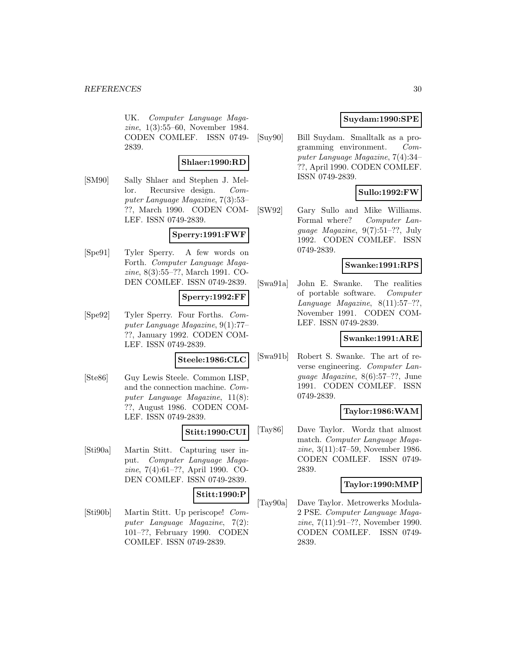UK. Computer Language Magazine, 1(3):55–60, November 1984. CODEN COMLEF. ISSN 0749- 2839.

#### **Shlaer:1990:RD**

[SM90] Sally Shlaer and Stephen J. Mellor. Recursive design. Computer Language Magazine, 7(3):53– ??, March 1990. CODEN COM-LEF. ISSN 0749-2839.

# **Sperry:1991:FWF**

[Spe91] Tyler Sperry. A few words on Forth. Computer Language Magazine, 8(3):55–??, March 1991. CO-DEN COMLEF. ISSN 0749-2839.

#### **Sperry:1992:FF**

[Spe92] Tyler Sperry. Four Forths. Computer Language Magazine, 9(1):77– ??, January 1992. CODEN COM-LEF. ISSN 0749-2839.

#### **Steele:1986:CLC**

[Ste86] Guy Lewis Steele. Common LISP, and the connection machine. Computer Language Magazine, 11(8): ??, August 1986. CODEN COM-LEF. ISSN 0749-2839.

# **Stitt:1990:CUI**

[Sti90a] Martin Stitt. Capturing user input. Computer Language Magazine, 7(4):61–??, April 1990. CO-DEN COMLEF. ISSN 0749-2839.

# **Stitt:1990:P**

[Sti90b] Martin Stitt. Up periscope! Computer Language Magazine, 7(2): 101–??, February 1990. CODEN COMLEF. ISSN 0749-2839.

# **Suydam:1990:SPE**

[Suy90] Bill Suydam. Smalltalk as a programming environment. Computer Language Magazine, 7(4):34– ??, April 1990. CODEN COMLEF. ISSN 0749-2839.

# **Sullo:1992:FW**

[SW92] Gary Sullo and Mike Williams. Formal where? Computer Language Magazine, 9(7):51–??, July 1992. CODEN COMLEF. ISSN 0749-2839.

# **Swanke:1991:RPS**

[Swa91a] John E. Swanke. The realities of portable software. Computer Language Magazine, 8(11):57–??, November 1991. CODEN COM-LEF. ISSN 0749-2839.

# **Swanke:1991:ARE**

[Swa91b] Robert S. Swanke. The art of reverse engineering. Computer Language Magazine, 8(6):57–??, June 1991. CODEN COMLEF. ISSN 0749-2839.

# **Taylor:1986:WAM**

[Tay86] Dave Taylor. Wordz that almost match. Computer Language Magazine, 3(11):47–59, November 1986. CODEN COMLEF. ISSN 0749- 2839.

# **Taylor:1990:MMP**

[Tay90a] Dave Taylor. Metrowerks Modula-2 PSE. Computer Language Magazine, 7(11):91–??, November 1990. CODEN COMLEF. ISSN 0749- 2839.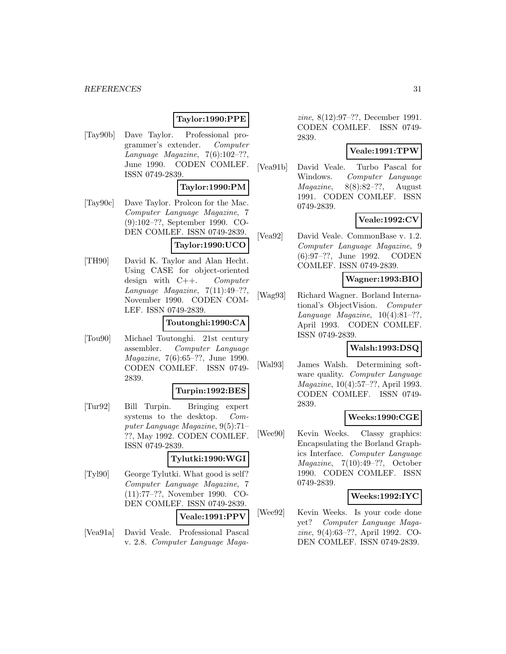# **Taylor:1990:PPE**

[Tay90b] Dave Taylor. Professional programmer's extender. Computer Language Magazine, 7(6):102–??, June 1990. CODEN COMLEF. ISSN 0749-2839.

# **Taylor:1990:PM**

[Tay90c] Dave Taylor. Prolcon for the Mac. Computer Language Magazine, 7 (9):102–??, September 1990. CO-DEN COMLEF. ISSN 0749-2839.

# **Taylor:1990:UCO**

[TH90] David K. Taylor and Alan Hecht. Using CASE for object-oriented design with C++. Computer Language Magazine,  $7(11):49-??$ , November 1990. CODEN COM-LEF. ISSN 0749-2839.

# **Toutonghi:1990:CA**

[Tou90] Michael Toutonghi. 21st century assembler. Computer Language Magazine, 7(6):65–??, June 1990. CODEN COMLEF. ISSN 0749- 2839.

#### **Turpin:1992:BES**

[Tur92] Bill Turpin. Bringing expert systems to the desktop. Computer Language Magazine, 9(5):71– ??, May 1992. CODEN COMLEF. ISSN 0749-2839.

# **Tylutki:1990:WGI**

[Tyl90] George Tylutki. What good is self? Computer Language Magazine, 7 (11):77–??, November 1990. CO-DEN COMLEF. ISSN 0749-2839.

#### **Veale:1991:PPV**

[Vea91a] David Veale. Professional Pascal v. 2.8. Computer Language Maga-

zine, 8(12):97–??, December 1991. CODEN COMLEF. ISSN 0749- 2839.

# **Veale:1991:TPW**

[Vea91b] David Veale. Turbo Pascal for Windows. Computer Language Magazine, 8(8):82–??, August 1991. CODEN COMLEF. ISSN 0749-2839.

# **Veale:1992:CV**

[Vea92] David Veale. CommonBase v. 1.2. Computer Language Magazine, 9 (6):97–??, June 1992. CODEN COMLEF. ISSN 0749-2839.

### **Wagner:1993:BIO**

[Wag93] Richard Wagner. Borland International's ObjectVision. Computer Language Magazine,  $10(4):81-??$ , April 1993. CODEN COMLEF. ISSN 0749-2839.

# **Walsh:1993:DSQ**

[Wal93] James Walsh. Determining software quality. *Computer Language* Magazine, 10(4):57–??, April 1993. CODEN COMLEF. ISSN 0749- 2839.

# **Weeks:1990:CGE**

[Wee90] Kevin Weeks. Classy graphics: Encapsulating the Borland Graphics Interface. Computer Language Magazine, 7(10):49–??, October 1990. CODEN COMLEF. ISSN 0749-2839.

# **Weeks:1992:IYC**

[Wee92] Kevin Weeks. Is your code done yet? Computer Language Magazine, 9(4):63–??, April 1992. CO-DEN COMLEF. ISSN 0749-2839.